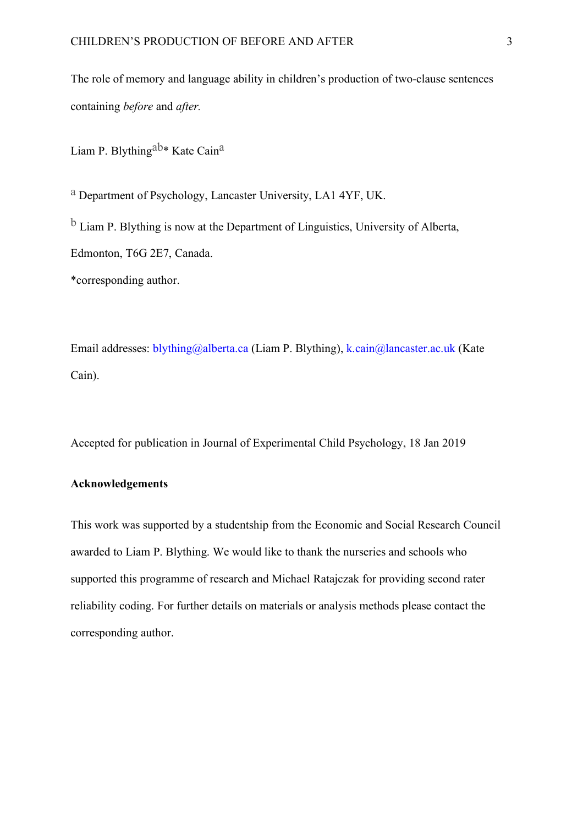The role of memory and language ability in children's production of two-clause sentences containing *before* and *after.* 

Liam P. Blything<sup>ab\*</sup> Kate Cain<sup>a</sup>

a Department of Psychology, Lancaster University, LA1 4YF, UK.

b Liam P. Blything is now at the Department of Linguistics, University of Alberta,

Edmonton, T6G 2E7, Canada.

\*corresponding author.

Email addresses: blything@alberta.ca (Liam P. Blything), k.cain@lancaster.ac.uk (Kate Cain).

Accepted for publication in Journal of Experimental Child Psychology, 18 Jan 2019

## **Acknowledgements**

This work was supported by a studentship from the Economic and Social Research Council awarded to Liam P. Blything. We would like to thank the nurseries and schools who supported this programme of research and Michael Ratajczak for providing second rater reliability coding. For further details on materials or analysis methods please contact the corresponding author.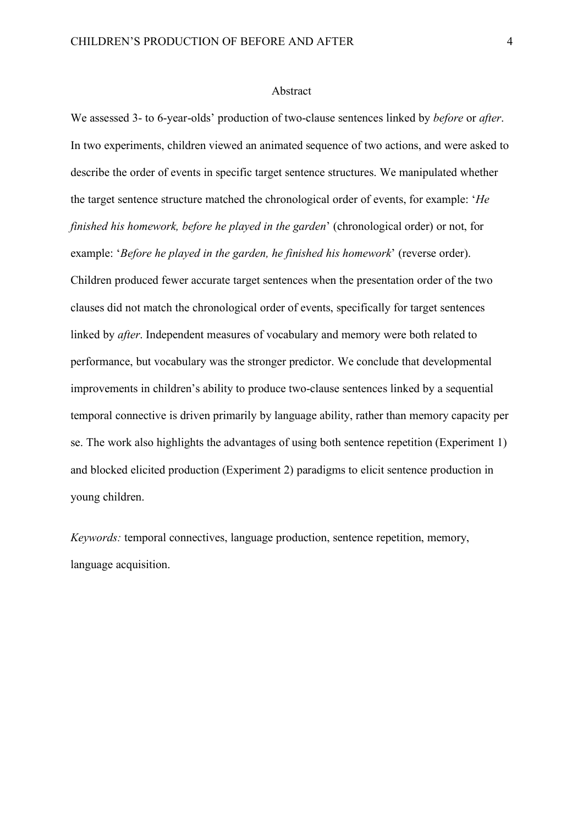#### Abstract

We assessed 3- to 6-year-olds' production of two-clause sentences linked by *before* or *after*. In two experiments, children viewed an animated sequence of two actions, and were asked to describe the order of events in specific target sentence structures. We manipulated whether the target sentence structure matched the chronological order of events, for example: '*He finished his homework, before he played in the garden*' (chronological order) or not, for example: '*Before he played in the garden, he finished his homework*' (reverse order). Children produced fewer accurate target sentences when the presentation order of the two clauses did not match the chronological order of events, specifically for target sentences linked by *after*. Independent measures of vocabulary and memory were both related to performance, but vocabulary was the stronger predictor. We conclude that developmental improvements in children's ability to produce two-clause sentences linked by a sequential temporal connective is driven primarily by language ability, rather than memory capacity per se. The work also highlights the advantages of using both sentence repetition (Experiment 1) and blocked elicited production (Experiment 2) paradigms to elicit sentence production in young children.

*Keywords:* temporal connectives, language production, sentence repetition, memory, language acquisition.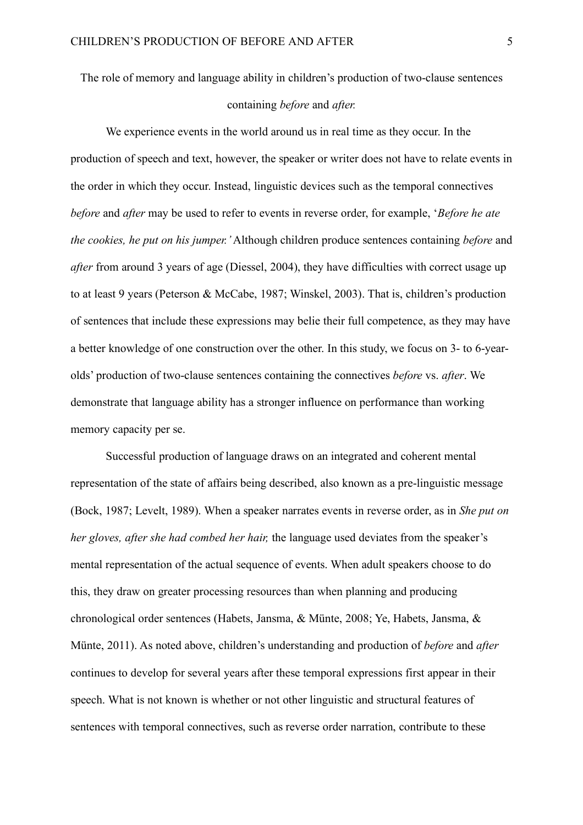# The role of memory and language ability in children's production of two-clause sentences

## containing *before* and *after.*

We experience events in the world around us in real time as they occur. In the production of speech and text, however, the speaker or writer does not have to relate events in the order in which they occur. Instead, linguistic devices such as the temporal connectives *before* and *after* may be used to refer to events in reverse order, for example, '*Before he ate the cookies, he put on his jumper.'* Although children produce sentences containing *before* and *after* from around 3 years of age (Diessel, 2004), they have difficulties with correct usage up to at least 9 years (Peterson & McCabe, 1987; Winskel, 2003). That is, children's production of sentences that include these expressions may belie their full competence, as they may have a better knowledge of one construction over the other. In this study, we focus on 3- to 6-yearolds' production of two-clause sentences containing the connectives *before* vs. *after*. We demonstrate that language ability has a stronger influence on performance than working memory capacity per se.

Successful production of language draws on an integrated and coherent mental representation of the state of affairs being described, also known as a pre-linguistic message (Bock, 1987; Levelt, 1989). When a speaker narrates events in reverse order, as in *She put on her gloves, after she had combed her hair,* the language used deviates from the speaker's mental representation of the actual sequence of events. When adult speakers choose to do this, they draw on greater processing resources than when planning and producing chronological order sentences (Habets, Jansma, & Münte, 2008; Ye, Habets, Jansma, & Münte, 2011). As noted above, children's understanding and production of *before* and *after* continues to develop for several years after these temporal expressions first appear in their speech. What is not known is whether or not other linguistic and structural features of sentences with temporal connectives, such as reverse order narration, contribute to these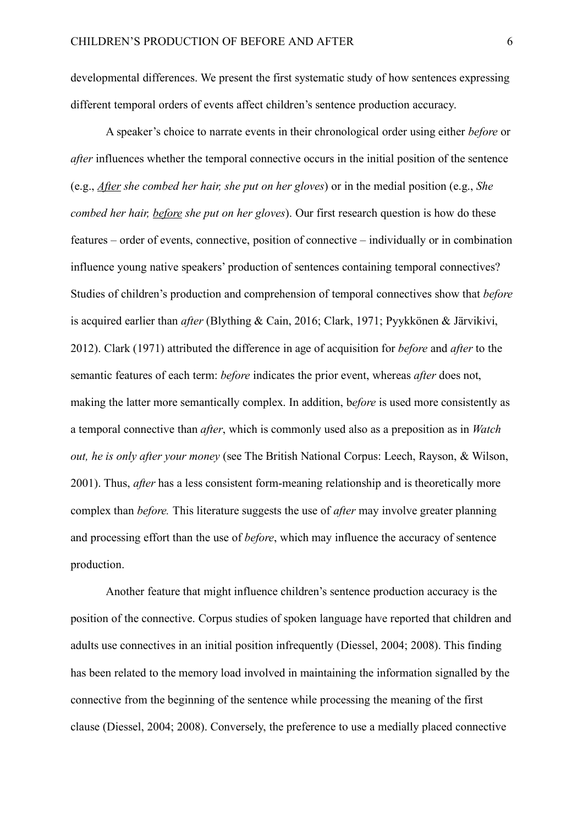developmental differences. We present the first systematic study of how sentences expressing different temporal orders of events affect children's sentence production accuracy.

A speaker's choice to narrate events in their chronological order using either *before* or *after* influences whether the temporal connective occurs in the initial position of the sentence (e.g., *After she combed her hair, she put on her gloves*) or in the medial position (e.g., *She combed her hair, before she put on her gloves*). Our first research question is how do these features – order of events, connective, position of connective – individually or in combination influence young native speakers' production of sentences containing temporal connectives? Studies of children's production and comprehension of temporal connectives show that *before*  is acquired earlier than *after* (Blything & Cain, 2016; Clark, 1971; Pyykkönen & Järvikivi, 2012). Clark (1971) attributed the difference in age of acquisition for *before* and *after* to the semantic features of each term: *before* indicates the prior event, whereas *after* does not, making the latter more semantically complex. In addition, b*efore* is used more consistently as a temporal connective than *after*, which is commonly used also as a preposition as in *Watch out, he is only after your money* (see The British National Corpus: Leech, Rayson, & Wilson, 2001). Thus, *after* has a less consistent form-meaning relationship and is theoretically more complex than *before.* This literature suggests the use of *after* may involve greater planning and processing effort than the use of *before*, which may influence the accuracy of sentence production.

Another feature that might influence children's sentence production accuracy is the position of the connective. Corpus studies of spoken language have reported that children and adults use connectives in an initial position infrequently (Diessel, 2004; 2008). This finding has been related to the memory load involved in maintaining the information signalled by the connective from the beginning of the sentence while processing the meaning of the first clause (Diessel, 2004; 2008). Conversely, the preference to use a medially placed connective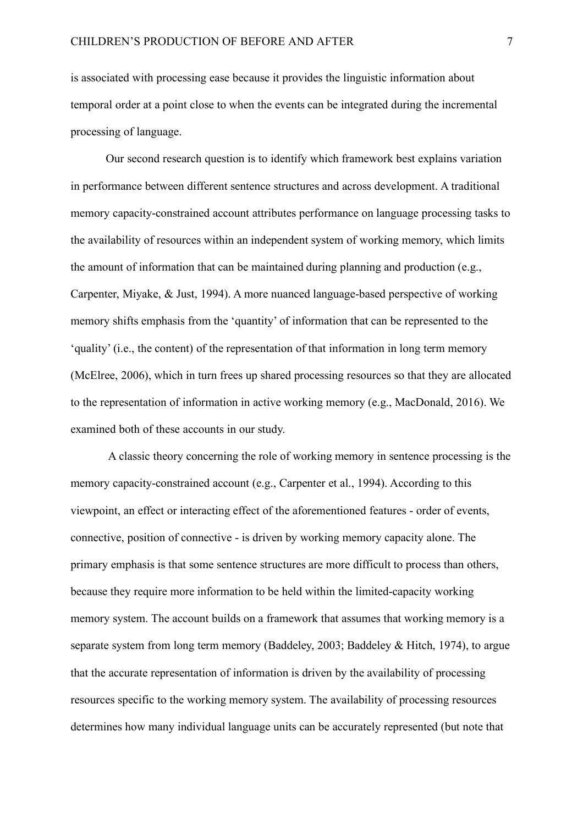is associated with processing ease because it provides the linguistic information about temporal order at a point close to when the events can be integrated during the incremental processing of language.

Our second research question is to identify which framework best explains variation in performance between different sentence structures and across development. A traditional memory capacity-constrained account attributes performance on language processing tasks to the availability of resources within an independent system of working memory, which limits the amount of information that can be maintained during planning and production (e.g., Carpenter, Miyake, & Just, 1994). A more nuanced language-based perspective of working memory shifts emphasis from the 'quantity' of information that can be represented to the 'quality' (i.e., the content) of the representation of that information in long term memory (McElree, 2006), which in turn frees up shared processing resources so that they are allocated to the representation of information in active working memory (e.g., MacDonald, 2016). We examined both of these accounts in our study.

A classic theory concerning the role of working memory in sentence processing is the memory capacity-constrained account (e.g., Carpenter et al., 1994). According to this viewpoint, an effect or interacting effect of the aforementioned features - order of events, connective, position of connective - is driven by working memory capacity alone. The primary emphasis is that some sentence structures are more difficult to process than others, because they require more information to be held within the limited-capacity working memory system. The account builds on a framework that assumes that working memory is a separate system from long term memory (Baddeley, 2003; Baddeley & Hitch, 1974), to argue that the accurate representation of information is driven by the availability of processing resources specific to the working memory system. The availability of processing resources determines how many individual language units can be accurately represented (but note that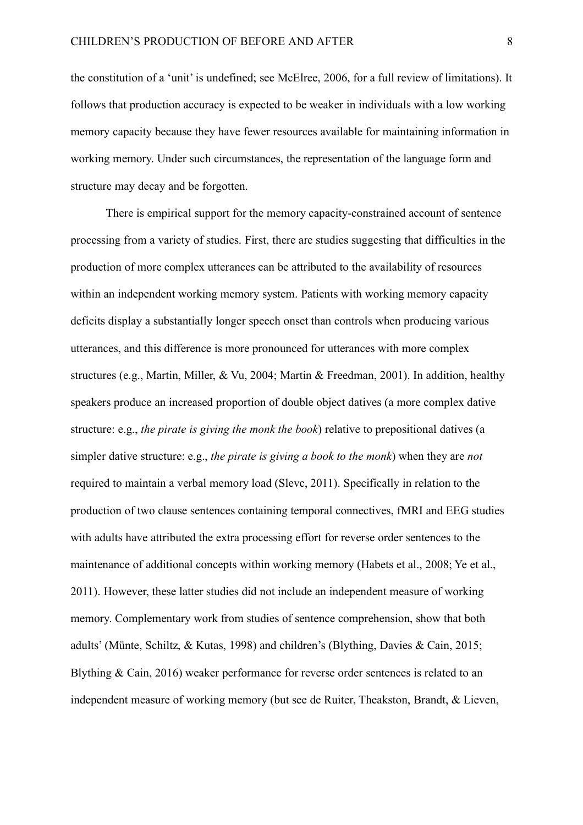the constitution of a 'unit' is undefined; see McElree, 2006, for a full review of limitations). It follows that production accuracy is expected to be weaker in individuals with a low working memory capacity because they have fewer resources available for maintaining information in working memory. Under such circumstances, the representation of the language form and structure may decay and be forgotten.

There is empirical support for the memory capacity-constrained account of sentence processing from a variety of studies. First, there are studies suggesting that difficulties in the production of more complex utterances can be attributed to the availability of resources within an independent working memory system. Patients with working memory capacity deficits display a substantially longer speech onset than controls when producing various utterances, and this difference is more pronounced for utterances with more complex structures (e.g., Martin, Miller, & Vu, 2004; Martin & Freedman, 2001). In addition, healthy speakers produce an increased proportion of double object datives (a more complex dative structure: e.g., *the pirate is giving the monk the book*) relative to prepositional datives (a simpler dative structure: e.g., *the pirate is giving a book to the monk*) when they are *not* required to maintain a verbal memory load (Slevc, 2011). Specifically in relation to the production of two clause sentences containing temporal connectives, fMRI and EEG studies with adults have attributed the extra processing effort for reverse order sentences to the maintenance of additional concepts within working memory (Habets et al., 2008; Ye et al., 2011). However, these latter studies did not include an independent measure of working memory. Complementary work from studies of sentence comprehension, show that both adults' (Münte, Schiltz, & Kutas, 1998) and children's (Blything, Davies & Cain, 2015; Blything & Cain, 2016) weaker performance for reverse order sentences is related to an independent measure of working memory (but see de Ruiter, Theakston, Brandt, & Lieven,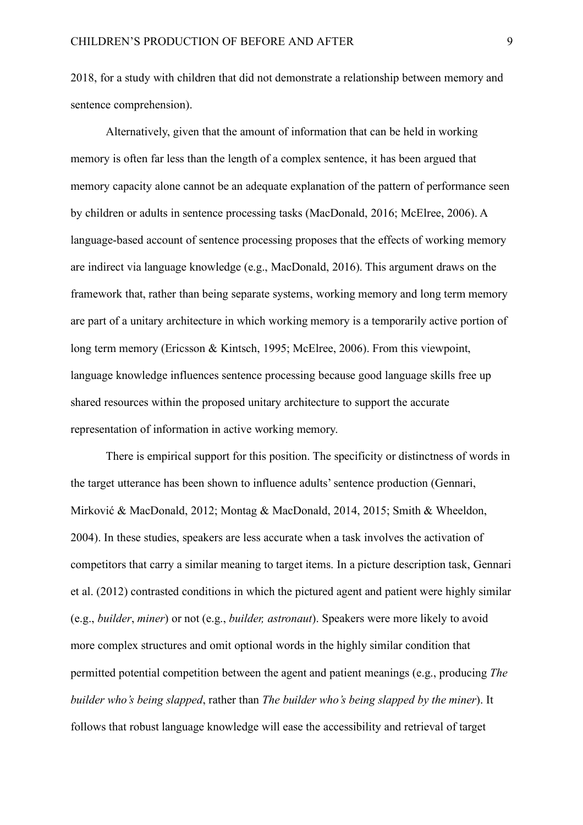2018, for a study with children that did not demonstrate a relationship between memory and sentence comprehension).

Alternatively, given that the amount of information that can be held in working memory is often far less than the length of a complex sentence, it has been argued that memory capacity alone cannot be an adequate explanation of the pattern of performance seen by children or adults in sentence processing tasks (MacDonald, 2016; McElree, 2006). A language-based account of sentence processing proposes that the effects of working memory are indirect via language knowledge (e.g., MacDonald, 2016). This argument draws on the framework that, rather than being separate systems, working memory and long term memory are part of a unitary architecture in which working memory is a temporarily active portion of long term memory (Ericsson & Kintsch, 1995; McElree, 2006). From this viewpoint, language knowledge influences sentence processing because good language skills free up shared resources within the proposed unitary architecture to support the accurate representation of information in active working memory.

There is empirical support for this position. The specificity or distinctness of words in the target utterance has been shown to influence adults' sentence production (Gennari, Mirković & MacDonald, 2012; Montag & MacDonald, 2014, 2015; Smith & Wheeldon, 2004). In these studies, speakers are less accurate when a task involves the activation of competitors that carry a similar meaning to target items. In a picture description task, Gennari et al. (2012) contrasted conditions in which the pictured agent and patient were highly similar (e.g., *builder*, *miner*) or not (e.g., *builder, astronaut*). Speakers were more likely to avoid more complex structures and omit optional words in the highly similar condition that permitted potential competition between the agent and patient meanings (e.g., producing *The builder who's being slapped*, rather than *The builder who's being slapped by the miner*). It follows that robust language knowledge will ease the accessibility and retrieval of target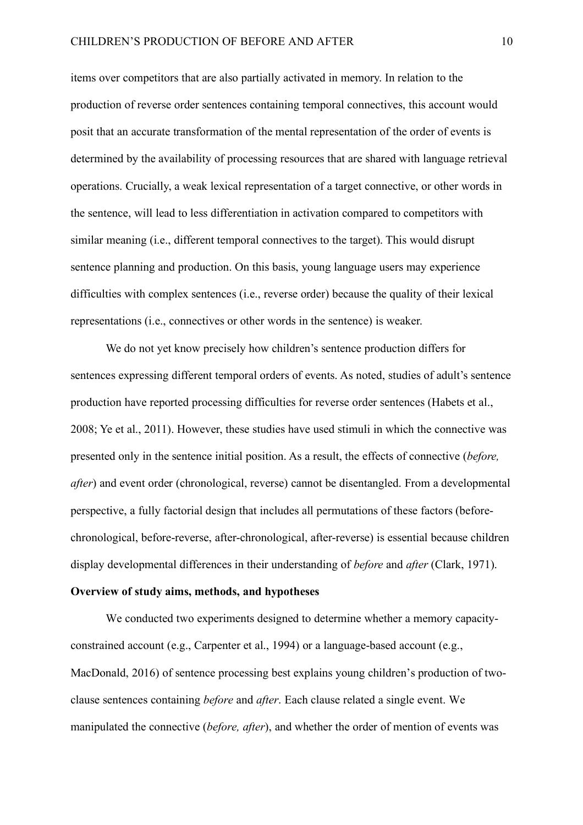items over competitors that are also partially activated in memory. In relation to the production of reverse order sentences containing temporal connectives, this account would posit that an accurate transformation of the mental representation of the order of events is determined by the availability of processing resources that are shared with language retrieval operations. Crucially, a weak lexical representation of a target connective, or other words in the sentence, will lead to less differentiation in activation compared to competitors with similar meaning (i.e., different temporal connectives to the target). This would disrupt sentence planning and production. On this basis, young language users may experience difficulties with complex sentences (i.e., reverse order) because the quality of their lexical representations (i.e., connectives or other words in the sentence) is weaker.

We do not yet know precisely how children's sentence production differs for sentences expressing different temporal orders of events. As noted, studies of adult's sentence production have reported processing difficulties for reverse order sentences (Habets et al., 2008; Ye et al., 2011). However, these studies have used stimuli in which the connective was presented only in the sentence initial position. As a result, the effects of connective (*before, after*) and event order (chronological, reverse) cannot be disentangled. From a developmental perspective, a fully factorial design that includes all permutations of these factors (beforechronological, before-reverse, after-chronological, after-reverse) is essential because children display developmental differences in their understanding of *before* and *after* (Clark, 1971).

#### **Overview of study aims, methods, and hypotheses**

We conducted two experiments designed to determine whether a memory capacityconstrained account (e.g., Carpenter et al., 1994) or a language-based account (e.g., MacDonald, 2016) of sentence processing best explains young children's production of twoclause sentences containing *before* and *after*. Each clause related a single event. We manipulated the connective (*before, after*), and whether the order of mention of events was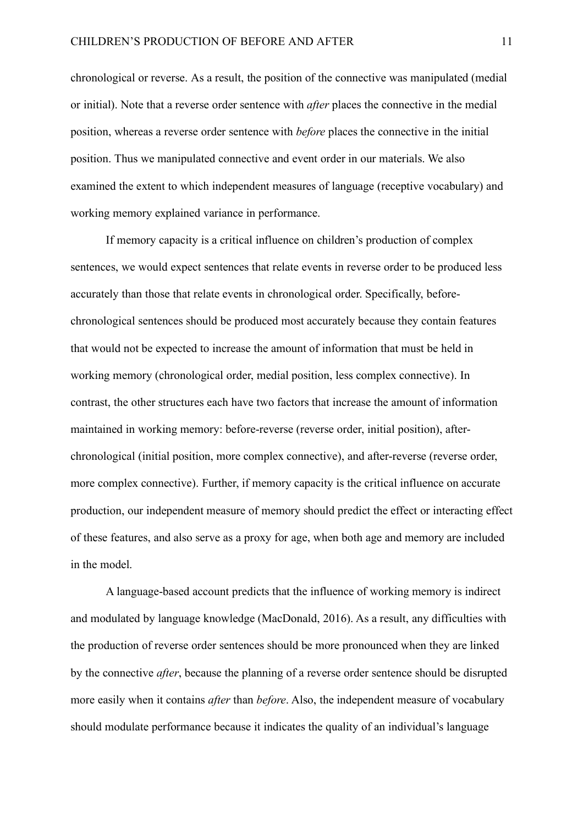chronological or reverse. As a result, the position of the connective was manipulated (medial or initial). Note that a reverse order sentence with *after* places the connective in the medial position, whereas a reverse order sentence with *before* places the connective in the initial position. Thus we manipulated connective and event order in our materials. We also examined the extent to which independent measures of language (receptive vocabulary) and working memory explained variance in performance.

If memory capacity is a critical influence on children's production of complex sentences, we would expect sentences that relate events in reverse order to be produced less accurately than those that relate events in chronological order. Specifically, beforechronological sentences should be produced most accurately because they contain features that would not be expected to increase the amount of information that must be held in working memory (chronological order, medial position, less complex connective). In contrast, the other structures each have two factors that increase the amount of information maintained in working memory: before-reverse (reverse order, initial position), afterchronological (initial position, more complex connective), and after-reverse (reverse order, more complex connective). Further, if memory capacity is the critical influence on accurate production, our independent measure of memory should predict the effect or interacting effect of these features, and also serve as a proxy for age, when both age and memory are included in the model.

A language-based account predicts that the influence of working memory is indirect and modulated by language knowledge (MacDonald, 2016). As a result, any difficulties with the production of reverse order sentences should be more pronounced when they are linked by the connective *after*, because the planning of a reverse order sentence should be disrupted more easily when it contains *after* than *before*. Also, the independent measure of vocabulary should modulate performance because it indicates the quality of an individual's language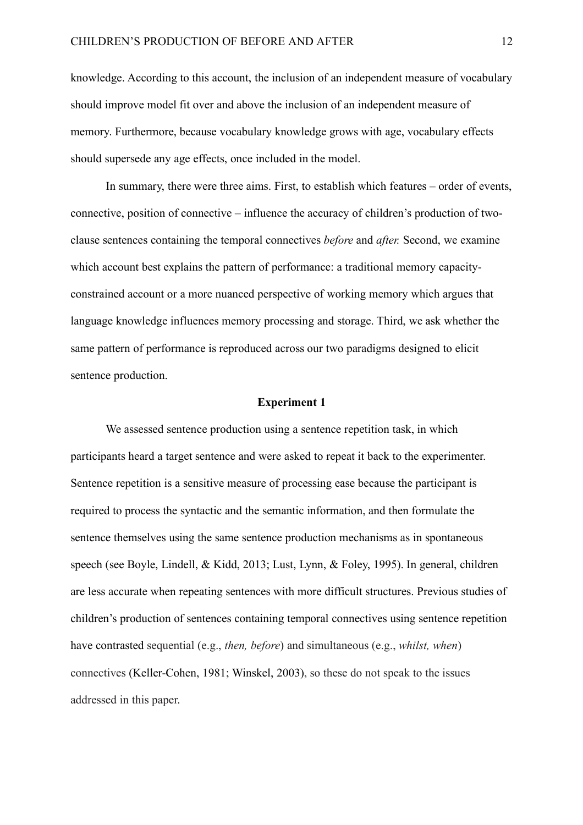knowledge. According to this account, the inclusion of an independent measure of vocabulary should improve model fit over and above the inclusion of an independent measure of memory. Furthermore, because vocabulary knowledge grows with age, vocabulary effects should supersede any age effects, once included in the model.

In summary, there were three aims. First, to establish which features – order of events, connective, position of connective – influence the accuracy of children's production of twoclause sentences containing the temporal connectives *before* and *after.* Second, we examine which account best explains the pattern of performance: a traditional memory capacityconstrained account or a more nuanced perspective of working memory which argues that language knowledge influences memory processing and storage. Third, we ask whether the same pattern of performance is reproduced across our two paradigms designed to elicit sentence production.

### **Experiment 1**

We assessed sentence production using a sentence repetition task, in which participants heard a target sentence and were asked to repeat it back to the experimenter. Sentence repetition is a sensitive measure of processing ease because the participant is required to process the syntactic and the semantic information, and then formulate the sentence themselves using the same sentence production mechanisms as in spontaneous speech (see Boyle, Lindell, & Kidd, 2013; Lust, Lynn, & Foley, 1995). In general, children are less accurate when repeating sentences with more difficult structures. Previous studies of children's production of sentences containing temporal connectives using sentence repetition have contrasted sequential (e.g., *then, before*) and simultaneous (e.g., *whilst, when*) connectives (Keller-Cohen, 1981; Winskel, 2003), so these do not speak to the issues addressed in this paper.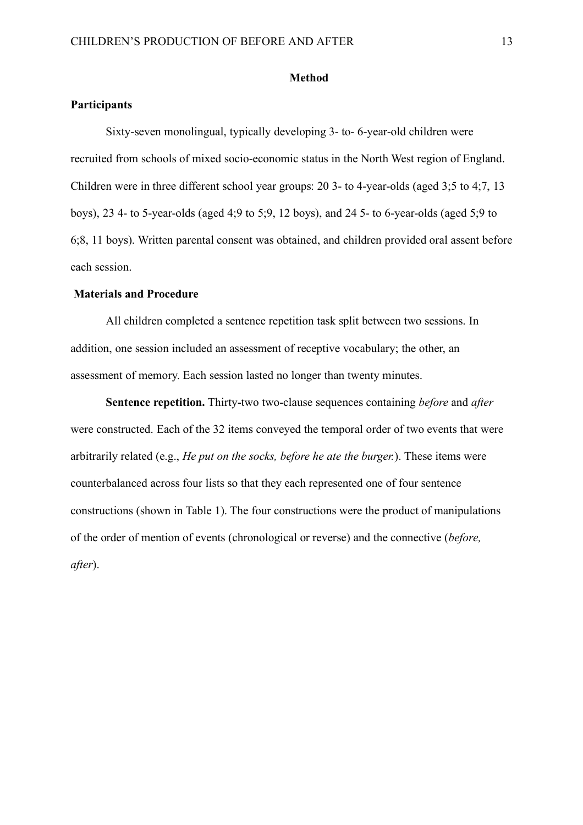#### **Method**

## **Participants**

Sixty-seven monolingual, typically developing 3- to- 6-year-old children were recruited from schools of mixed socio-economic status in the North West region of England. Children were in three different school year groups: 20 3- to 4-year-olds (aged 3;5 to 4;7, 13 boys), 23 4- to 5-year-olds (aged 4;9 to 5;9, 12 boys), and 24 5- to 6-year-olds (aged 5;9 to 6;8, 11 boys). Written parental consent was obtained, and children provided oral assent before each session.

## **Materials and Procedure**

All children completed a sentence repetition task split between two sessions. In addition, one session included an assessment of receptive vocabulary; the other, an assessment of memory. Each session lasted no longer than twenty minutes.

**Sentence repetition.** Thirty-two two-clause sequences containing *before* and *after*  were constructed. Each of the 32 items conveyed the temporal order of two events that were arbitrarily related (e.g., *He put on the socks, before he ate the burger.*). These items were counterbalanced across four lists so that they each represented one of four sentence constructions (shown in Table 1). The four constructions were the product of manipulations of the order of mention of events (chronological or reverse) and the connective (*before, after*).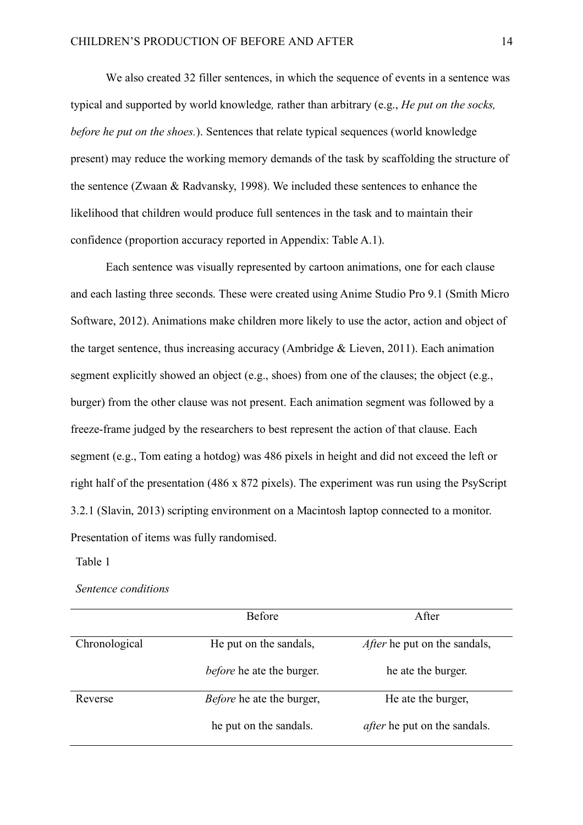We also created 32 filler sentences, in which the sequence of events in a sentence was typical and supported by world knowledge*,* rather than arbitrary (e.g., *He put on the socks, before he put on the shoes.*). Sentences that relate typical sequences (world knowledge present) may reduce the working memory demands of the task by scaffolding the structure of the sentence (Zwaan & Radvansky, 1998). We included these sentences to enhance the likelihood that children would produce full sentences in the task and to maintain their confidence (proportion accuracy reported in Appendix: Table A.1).

Each sentence was visually represented by cartoon animations, one for each clause and each lasting three seconds. These were created using Anime Studio Pro 9.1 (Smith Micro Software, 2012). Animations make children more likely to use the actor, action and object of the target sentence, thus increasing accuracy (Ambridge  $\&$  Lieven, 2011). Each animation segment explicitly showed an object (e.g., shoes) from one of the clauses; the object (e.g., burger) from the other clause was not present. Each animation segment was followed by a freeze-frame judged by the researchers to best represent the action of that clause. Each segment (e.g., Tom eating a hotdog) was 486 pixels in height and did not exceed the left or right half of the presentation (486 x 872 pixels). The experiment was run using the PsyScript 3.2.1 (Slavin, 2013) scripting environment on a Macintosh laptop connected to a monitor. Presentation of items was fully randomised.

Table 1

*Sentence conditions*

|               | <b>Before</b>                    | After                               |
|---------------|----------------------------------|-------------------------------------|
| Chronological | He put on the sandals,           | <i>After</i> he put on the sandals, |
|               | <i>before</i> he ate the burger. | he ate the burger.                  |
| Reverse       | <i>Before</i> he ate the burger, | He ate the burger,                  |
|               | he put on the sandals.           | <i>after</i> he put on the sandals. |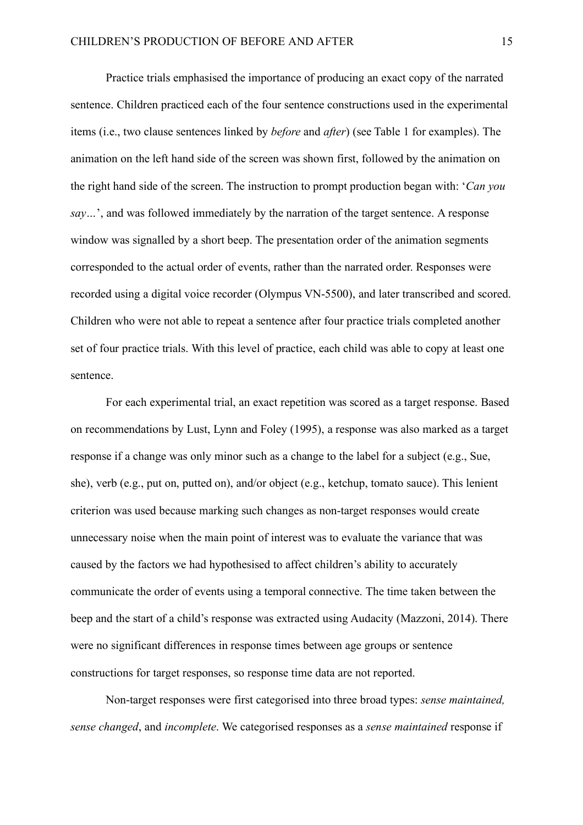Practice trials emphasised the importance of producing an exact copy of the narrated sentence. Children practiced each of the four sentence constructions used in the experimental items (i.e., two clause sentences linked by *before* and *after*) (see Table 1 for examples). The animation on the left hand side of the screen was shown first, followed by the animation on the right hand side of the screen. The instruction to prompt production began with: '*Can you say…*', and was followed immediately by the narration of the target sentence. A response window was signalled by a short beep. The presentation order of the animation segments corresponded to the actual order of events, rather than the narrated order. Responses were recorded using a digital voice recorder (Olympus VN-5500), and later transcribed and scored. Children who were not able to repeat a sentence after four practice trials completed another set of four practice trials. With this level of practice, each child was able to copy at least one sentence.

For each experimental trial, an exact repetition was scored as a target response. Based on recommendations by Lust, Lynn and Foley (1995), a response was also marked as a target response if a change was only minor such as a change to the label for a subject (e.g., Sue, she), verb (e.g., put on, putted on), and/or object (e.g., ketchup, tomato sauce). This lenient criterion was used because marking such changes as non-target responses would create unnecessary noise when the main point of interest was to evaluate the variance that was caused by the factors we had hypothesised to affect children's ability to accurately communicate the order of events using a temporal connective. The time taken between the beep and the start of a child's response was extracted using Audacity (Mazzoni, 2014). There were no significant differences in response times between age groups or sentence constructions for target responses, so response time data are not reported.

Non-target responses were first categorised into three broad types: *sense maintained, sense changed*, and *incomplete*. We categorised responses as a *sense maintained* response if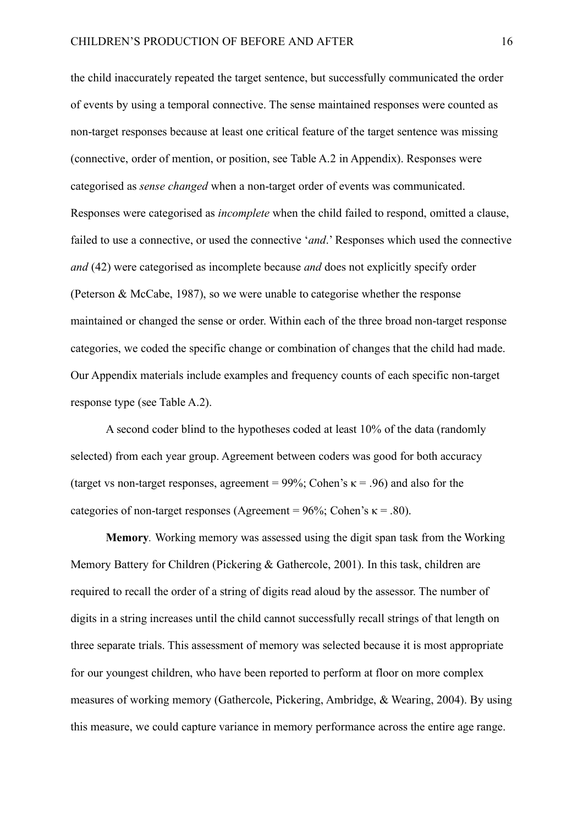the child inaccurately repeated the target sentence, but successfully communicated the order of events by using a temporal connective. The sense maintained responses were counted as non-target responses because at least one critical feature of the target sentence was missing (connective, order of mention, or position, see Table A.2 in Appendix). Responses were categorised as *sense changed* when a non-target order of events was communicated. Responses were categorised as *incomplete* when the child failed to respond, omitted a clause, failed to use a connective, or used the connective '*and*.' Responses which used the connective *and* (42) were categorised as incomplete because *and* does not explicitly specify order (Peterson & McCabe, 1987), so we were unable to categorise whether the response maintained or changed the sense or order. Within each of the three broad non-target response categories, we coded the specific change or combination of changes that the child had made. Our Appendix materials include examples and frequency counts of each specific non-target response type (see Table A.2).

A second coder blind to the hypotheses coded at least 10% of the data (randomly selected) from each year group. Agreement between coders was good for both accuracy (target vs non-target responses, agreement =  $99\%$ ; Cohen's  $\kappa$  = .96) and also for the categories of non-target responses (Agreement =  $96\%$ ; Cohen's  $\kappa$  = .80).

**Memory***.* Working memory was assessed using the digit span task from the Working Memory Battery for Children (Pickering & Gathercole, 2001). In this task, children are required to recall the order of a string of digits read aloud by the assessor. The number of digits in a string increases until the child cannot successfully recall strings of that length on three separate trials. This assessment of memory was selected because it is most appropriate for our youngest children, who have been reported to perform at floor on more complex measures of working memory (Gathercole, Pickering, Ambridge, & Wearing, 2004). By using this measure, we could capture variance in memory performance across the entire age range.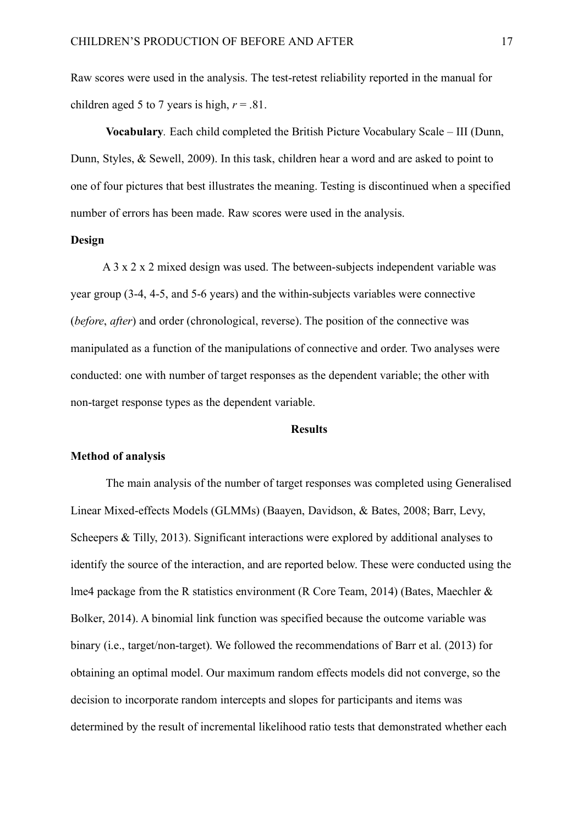Raw scores were used in the analysis. The test-retest reliability reported in the manual for children aged 5 to 7 years is high,  $r = .81$ .

**Vocabulary***.* Each child completed the British Picture Vocabulary Scale – III (Dunn, Dunn, Styles, & Sewell, 2009). In this task, children hear a word and are asked to point to one of four pictures that best illustrates the meaning. Testing is discontinued when a specified number of errors has been made. Raw scores were used in the analysis.

### **Design**

 A 3 x 2 x 2 mixed design was used. The between-subjects independent variable was year group (3-4, 4-5, and 5-6 years) and the within-subjects variables were connective (*before*, *after*) and order (chronological, reverse). The position of the connective was manipulated as a function of the manipulations of connective and order. Two analyses were conducted: one with number of target responses as the dependent variable; the other with non-target response types as the dependent variable.

## **Results**

#### **Method of analysis**

The main analysis of the number of target responses was completed using Generalised Linear Mixed-effects Models (GLMMs) (Baayen, Davidson, & Bates, 2008; Barr, Levy, Scheepers & Tilly, 2013). Significant interactions were explored by additional analyses to identify the source of the interaction, and are reported below. These were conducted using the lme4 package from the R statistics environment (R Core Team, 2014) (Bates, Maechler & Bolker, 2014). A binomial link function was specified because the outcome variable was binary (i.e., target/non-target). We followed the recommendations of Barr et al. (2013) for obtaining an optimal model. Our maximum random effects models did not converge, so the decision to incorporate random intercepts and slopes for participants and items was determined by the result of incremental likelihood ratio tests that demonstrated whether each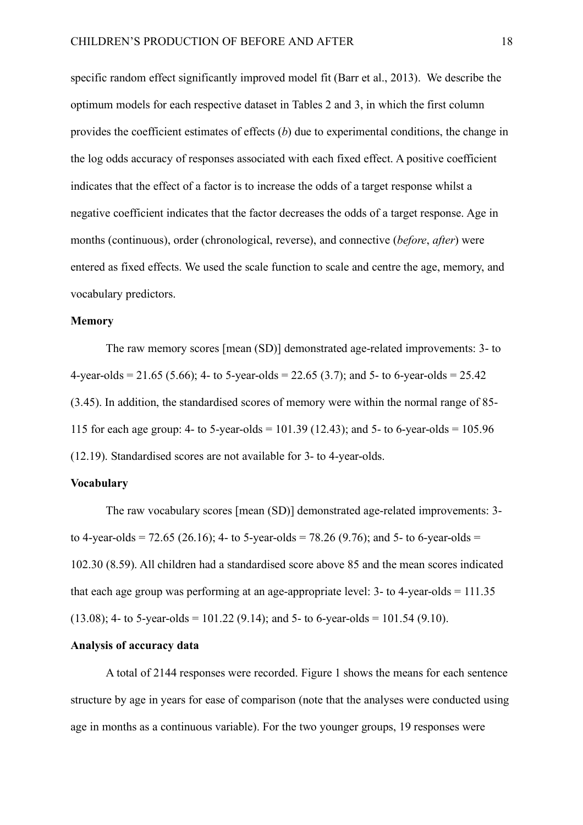specific random effect significantly improved model fit (Barr et al., 2013). We describe the optimum models for each respective dataset in Tables 2 and 3, in which the first column provides the coefficient estimates of effects (*b*) due to experimental conditions, the change in the log odds accuracy of responses associated with each fixed effect. A positive coefficient indicates that the effect of a factor is to increase the odds of a target response whilst a negative coefficient indicates that the factor decreases the odds of a target response. Age in months (continuous), order (chronological, reverse), and connective (*before*, *after*) were entered as fixed effects. We used the scale function to scale and centre the age, memory, and vocabulary predictors.

### **Memory**

The raw memory scores [mean (SD)] demonstrated age-related improvements: 3- to 4-year-olds = 21.65 (5.66); 4- to 5-year-olds = 22.65 (3.7); and 5- to 6-year-olds = 25.42 (3.45). In addition, the standardised scores of memory were within the normal range of 85- 115 for each age group: 4- to 5-year-olds = 101.39 (12.43); and 5- to 6-year-olds = 105.96 (12.19). Standardised scores are not available for 3- to 4-year-olds.

### **Vocabulary**

The raw vocabulary scores [mean (SD)] demonstrated age-related improvements: 3 to 4-year-olds = 72.65 (26.16); 4- to 5-year-olds = 78.26 (9.76); and 5- to 6-year-olds = 102.30 (8.59). All children had a standardised score above 85 and the mean scores indicated that each age group was performing at an age-appropriate level: 3- to 4-year-olds  $= 111.35$  $(13.08)$ ; 4- to 5-year-olds = 101.22 (9.14); and 5- to 6-year-olds = 101.54 (9.10).

### **Analysis of accuracy data**

A total of 2144 responses were recorded. Figure 1 shows the means for each sentence structure by age in years for ease of comparison (note that the analyses were conducted using age in months as a continuous variable). For the two younger groups, 19 responses were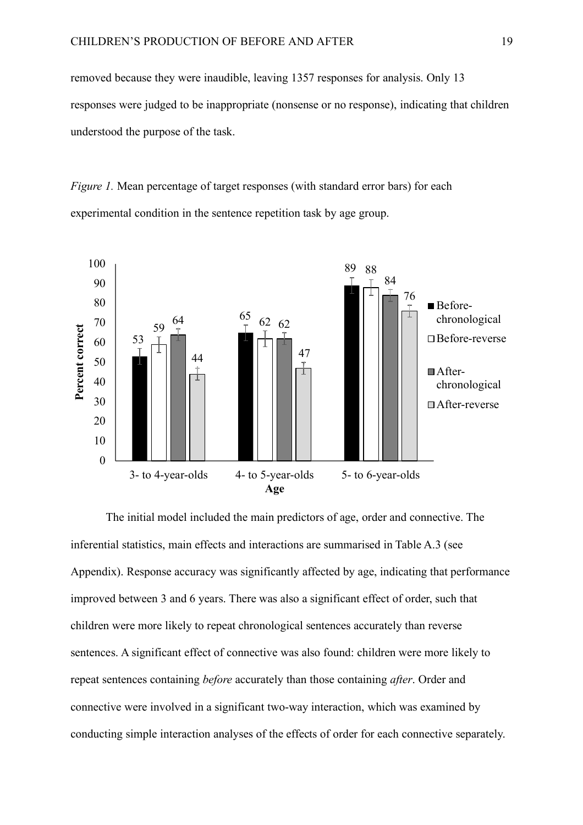removed because they were inaudible, leaving 1357 responses for analysis. Only 13 responses were judged to be inappropriate (nonsense or no response), indicating that children understood the purpose of the task.

*Figure 1.* Mean percentage of target responses (with standard error bars) for each experimental condition in the sentence repetition task by age group.



The initial model included the main predictors of age, order and connective. The inferential statistics, main effects and interactions are summarised in Table A.3 (see Appendix). Response accuracy was significantly affected by age, indicating that performance improved between 3 and 6 years. There was also a significant effect of order, such that children were more likely to repeat chronological sentences accurately than reverse sentences. A significant effect of connective was also found: children were more likely to repeat sentences containing *before* accurately than those containing *after*. Order and connective were involved in a significant two-way interaction, which was examined by conducting simple interaction analyses of the effects of order for each connective separately.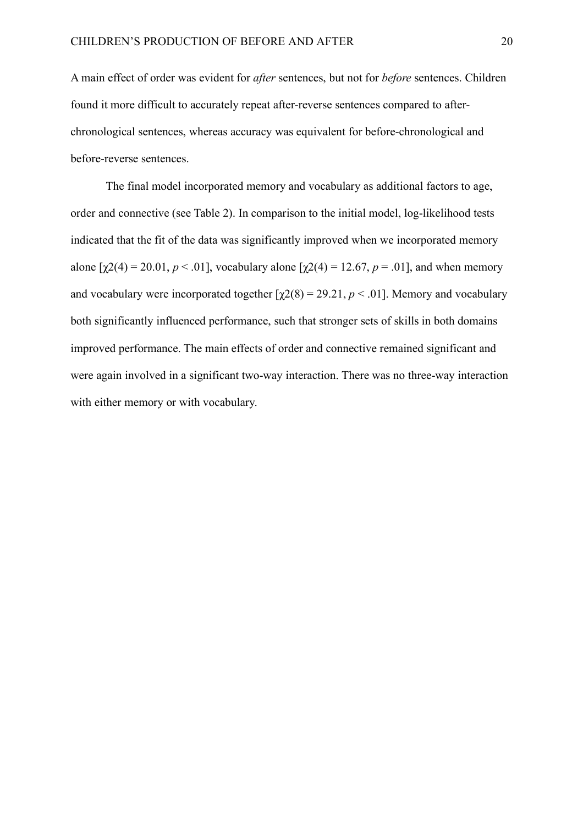A main effect of order was evident for *after* sentences, but not for *before* sentences. Children found it more difficult to accurately repeat after-reverse sentences compared to afterchronological sentences, whereas accuracy was equivalent for before-chronological and before-reverse sentences.

The final model incorporated memory and vocabulary as additional factors to age, order and connective (see Table 2). In comparison to the initial model, log-likelihood tests indicated that the fit of the data was significantly improved when we incorporated memory alone  $[\gamma 2(4) = 20.01, p < .01]$ , vocabulary alone  $[\gamma 2(4) = 12.67, p = .01]$ , and when memory and vocabulary were incorporated together  $[\gamma 2(8) = 29.21, p < .01]$ . Memory and vocabulary both significantly influenced performance, such that stronger sets of skills in both domains improved performance. The main effects of order and connective remained significant and were again involved in a significant two-way interaction. There was no three-way interaction with either memory or with vocabulary.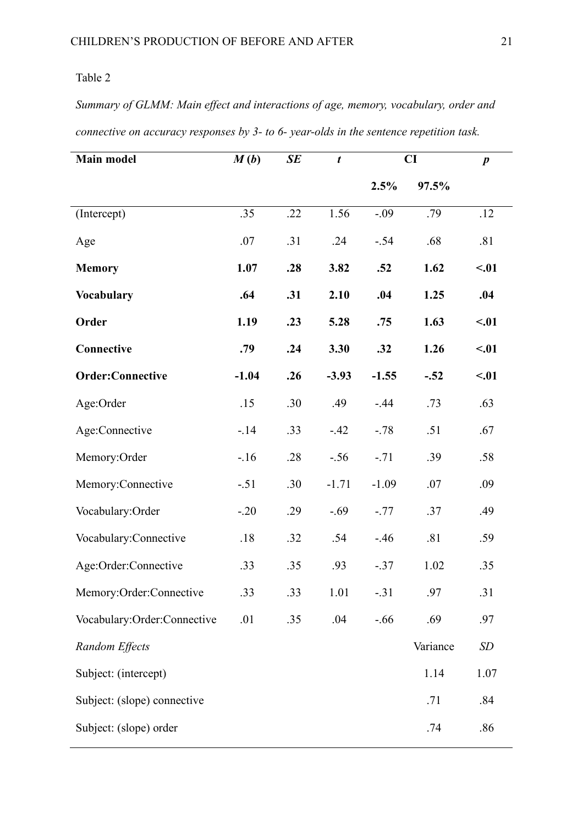## Table 2

*Summary of GLMM: Main effect and interactions of age, memory, vocabulary, order and connective on accuracy responses by 3- to 6- year-olds in the sentence repetition task.*

| Main model                  | M(b)    | SE  | $\boldsymbol{t}$ | <b>CI</b> |          | $\boldsymbol{p}$ |
|-----------------------------|---------|-----|------------------|-----------|----------|------------------|
|                             |         |     |                  | 2.5%      | 97.5%    |                  |
| (Intercept)                 | .35     | .22 | 1.56             | $-.09$    | .79      | .12              |
| Age                         | .07     | .31 | .24              | $-.54$    | .68      | .81              |
| <b>Memory</b>               | 1.07    | .28 | 3.82             | .52       | 1.62     | $\leq 01$        |
| <b>Vocabulary</b>           | .64     | .31 | 2.10             | .04       | 1.25     | .04              |
| Order                       | 1.19    | .23 | 5.28             | .75       | 1.63     | $\leq 01$        |
| Connective                  | .79     | .24 | 3.30             | .32       | 1.26     | $\leq 01$        |
| <b>Order:Connective</b>     | $-1.04$ | .26 | $-3.93$          | $-1.55$   | $-.52$   | $\leq 01$        |
| Age:Order                   | .15     | .30 | .49              | $-44$     | .73      | .63              |
| Age:Connective              | $-14$   | .33 | $-.42$           | $-.78$    | .51      | .67              |
| Memory: Order               | $-16$   | .28 | $-.56$           | $-.71$    | .39      | .58              |
| Memory:Connective           | $-.51$  | .30 | $-1.71$          | $-1.09$   | .07      | .09              |
| Vocabulary:Order            | $-.20$  | .29 | $-.69$           | $-.77$    | .37      | .49              |
| Vocabulary:Connective       | .18     | .32 | .54              | $-46$     | .81      | .59              |
| Age:Order:Connective        | .33     | .35 | .93              | $-.37$    | 1.02     | .35              |
| Memory:Order:Connective     | .33     | .33 | 1.01             | $-.31$    | .97      | .31              |
| Vocabulary:Order:Connective | .01     | .35 | .04              | $-.66$    | .69      | .97              |
| Random Effects              |         |     |                  |           | Variance | SD               |
| Subject: (intercept)        |         |     |                  |           | 1.14     | 1.07             |
| Subject: (slope) connective |         |     |                  |           | .71      | .84              |
| Subject: (slope) order      |         |     |                  |           | .74      | .86              |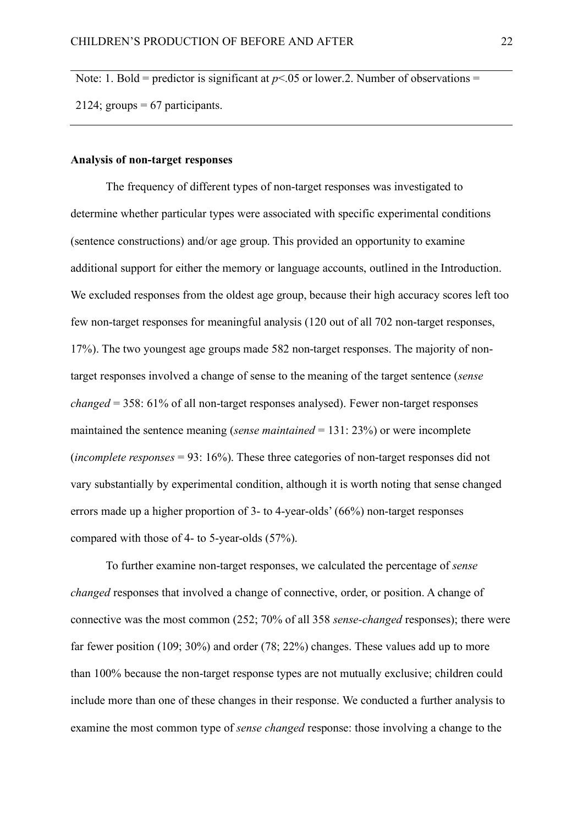Note: 1. Bold = predictor is significant at  $p$ <.05 or lower.2. Number of observations =  $2124$ ; groups = 67 participants.

#### **Analysis of non-target responses**

The frequency of different types of non-target responses was investigated to determine whether particular types were associated with specific experimental conditions (sentence constructions) and/or age group. This provided an opportunity to examine additional support for either the memory or language accounts, outlined in the Introduction. We excluded responses from the oldest age group, because their high accuracy scores left too few non-target responses for meaningful analysis (120 out of all 702 non-target responses, 17%). The two youngest age groups made 582 non-target responses. The majority of nontarget responses involved a change of sense to the meaning of the target sentence (*sense changed* = 358: 61% of all non-target responses analysed). Fewer non-target responses maintained the sentence meaning (*sense maintained* = 131: 23%) or were incomplete (*incomplete responses* = 93: 16%). These three categories of non-target responses did not vary substantially by experimental condition, although it is worth noting that sense changed errors made up a higher proportion of 3- to 4-year-olds' (66%) non-target responses compared with those of 4- to 5-year-olds (57%).

To further examine non-target responses, we calculated the percentage of *sense changed* responses that involved a change of connective, order, or position. A change of connective was the most common (252; 70% of all 358 *sense-changed* responses); there were far fewer position (109; 30%) and order (78; 22%) changes. These values add up to more than 100% because the non-target response types are not mutually exclusive; children could include more than one of these changes in their response. We conducted a further analysis to examine the most common type of *sense changed* response: those involving a change to the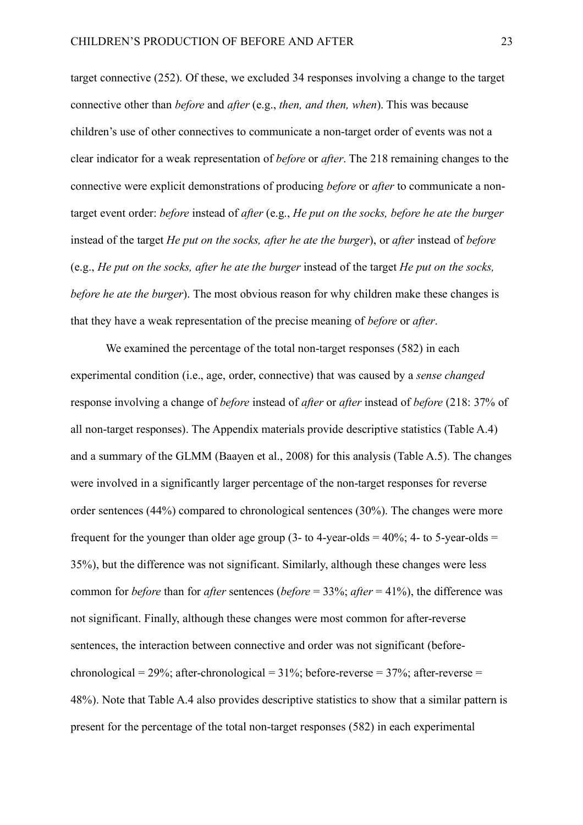target connective (252). Of these, we excluded 34 responses involving a change to the target connective other than *before* and *after* (e.g., *then, and then, when*). This was because children's use of other connectives to communicate a non-target order of events was not a clear indicator for a weak representation of *before* or *after*. The 218 remaining changes to the connective were explicit demonstrations of producing *before* or *after* to communicate a nontarget event order: *before* instead of *after* (e.g., *He put on the socks, before he ate the burger* instead of the target *He put on the socks, after he ate the burger*), or *after* instead of *before* (e.g., *He put on the socks, after he ate the burger* instead of the target *He put on the socks, before he ate the burger*). The most obvious reason for why children make these changes is that they have a weak representation of the precise meaning of *before* or *after*.

We examined the percentage of the total non-target responses (582) in each experimental condition (i.e., age, order, connective) that was caused by a *sense changed* response involving a change of *before* instead of *after* or *after* instead of *before* (218: 37% of all non-target responses). The Appendix materials provide descriptive statistics (Table A.4) and a summary of the GLMM (Baayen et al., 2008) for this analysis (Table A.5). The changes were involved in a significantly larger percentage of the non-target responses for reverse order sentences (44%) compared to chronological sentences (30%). The changes were more frequent for the younger than older age group (3- to 4-year-olds  $= 40\%$ ; 4- to 5-year-olds  $=$ 35%), but the difference was not significant. Similarly, although these changes were less common for *before* than for *after* sentences (*before* = 33%; *after* = 41%), the difference was not significant. Finally, although these changes were most common for after-reverse sentences, the interaction between connective and order was not significant (beforechronological =  $29\%$ ; after-chronological =  $31\%$ ; before-reverse =  $37\%$ ; after-reverse = 48%). Note that Table A.4 also provides descriptive statistics to show that a similar pattern is present for the percentage of the total non-target responses (582) in each experimental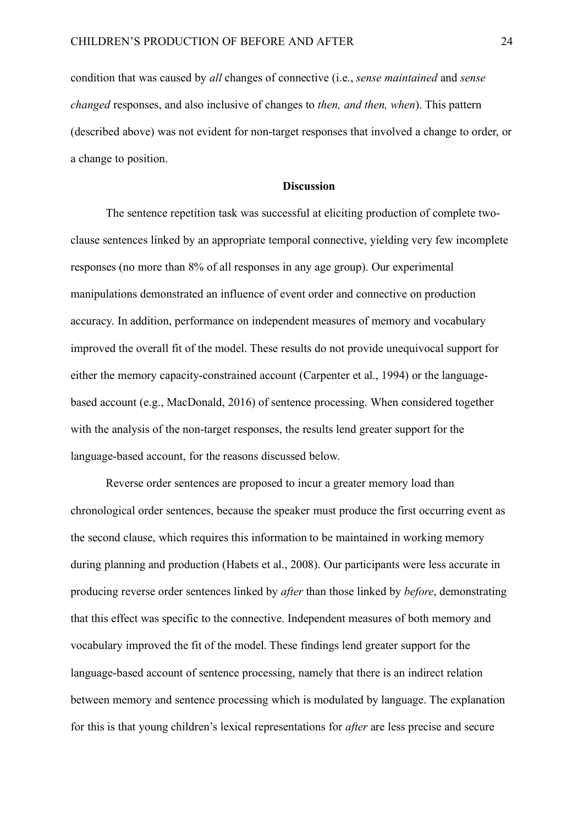condition that was caused by *all* changes of connective (i.e., *sense maintained* and *sense changed* responses, and also inclusive of changes to *then, and then, when*). This pattern (described above) was not evident for non-target responses that involved a change to order, or a change to position.

#### **Discussion**

The sentence repetition task was successful at eliciting production of complete twoclause sentences linked by an appropriate temporal connective, yielding very few incomplete responses (no more than 8% of all responses in any age group). Our experimental manipulations demonstrated an influence of event order and connective on production accuracy. In addition, performance on independent measures of memory and vocabulary improved the overall fit of the model. These results do not provide unequivocal support for either the memory capacity-constrained account (Carpenter et al., 1994) or the languagebased account (e.g., MacDonald, 2016) of sentence processing. When considered together with the analysis of the non-target responses, the results lend greater support for the language-based account, for the reasons discussed below.

Reverse order sentences are proposed to incur a greater memory load than chronological order sentences, because the speaker must produce the first occurring event as the second clause, which requires this information to be maintained in working memory during planning and production (Habets et al., 2008). Our participants were less accurate in producing reverse order sentences linked by *after* than those linked by *before*, demonstrating that this effect was specific to the connective. Independent measures of both memory and vocabulary improved the fit of the model. These findings lend greater support for the language-based account of sentence processing, namely that there is an indirect relation between memory and sentence processing which is modulated by language. The explanation for this is that young children's lexical representations for *after* are less precise and secure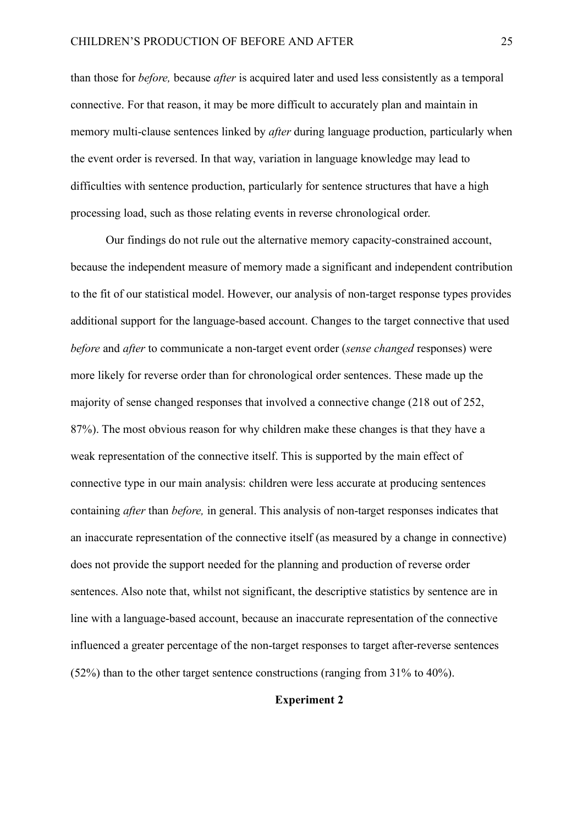than those for *before,* because *after* is acquired later and used less consistently as a temporal connective. For that reason, it may be more difficult to accurately plan and maintain in memory multi-clause sentences linked by *after* during language production, particularly when the event order is reversed. In that way, variation in language knowledge may lead to difficulties with sentence production, particularly for sentence structures that have a high processing load, such as those relating events in reverse chronological order.

Our findings do not rule out the alternative memory capacity-constrained account, because the independent measure of memory made a significant and independent contribution to the fit of our statistical model. However, our analysis of non-target response types provides additional support for the language-based account. Changes to the target connective that used *before* and *after* to communicate a non-target event order (*sense changed* responses) were more likely for reverse order than for chronological order sentences. These made up the majority of sense changed responses that involved a connective change (218 out of 252, 87%). The most obvious reason for why children make these changes is that they have a weak representation of the connective itself. This is supported by the main effect of connective type in our main analysis: children were less accurate at producing sentences containing *after* than *before,* in general. This analysis of non-target responses indicates that an inaccurate representation of the connective itself (as measured by a change in connective) does not provide the support needed for the planning and production of reverse order sentences. Also note that, whilst not significant, the descriptive statistics by sentence are in line with a language-based account, because an inaccurate representation of the connective influenced a greater percentage of the non-target responses to target after-reverse sentences (52%) than to the other target sentence constructions (ranging from 31% to 40%).

#### **Experiment 2**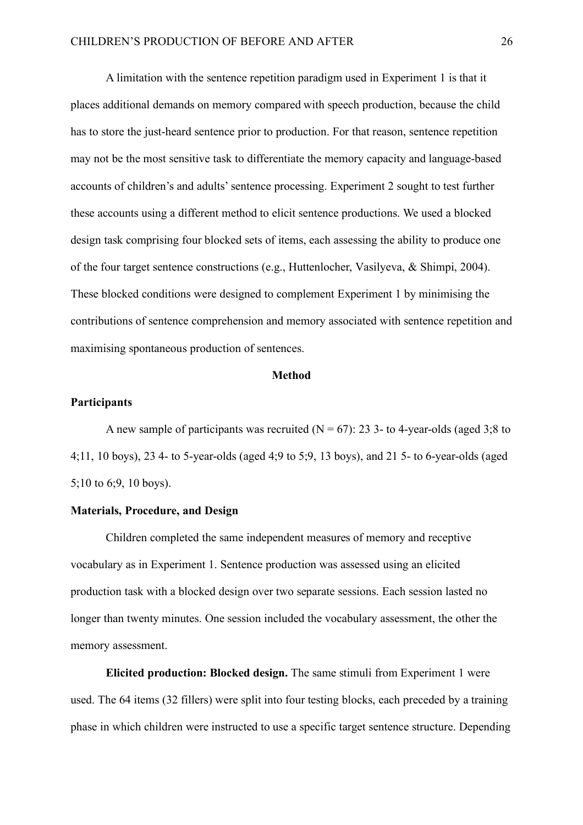A limitation with the sentence repetition paradigm used in Experiment 1 is that it places additional demands on memory compared with speech production, because the child has to store the just-heard sentence prior to production. For that reason, sentence repetition may not be the most sensitive task to differentiate the memory capacity and language-based accounts of children's and adults' sentence processing. Experiment 2 sought to test further these accounts using a different method to elicit sentence productions. We used a blocked design task comprising four blocked sets of items, each assessing the ability to produce one of the four target sentence constructions (e.g., Huttenlocher, Vasilyeva, & Shimpi, 2004). These blocked conditions were designed to complement Experiment 1 by minimising the contributions of sentence comprehension and memory associated with sentence repetition and maximising spontaneous production of sentences.

### **Method**

## **Participants**

A new sample of participants was recruited ( $N = 67$ ): 23 3- to 4-year-olds (aged 3;8 to 4;11, 10 boys), 23 4- to 5-year-olds (aged 4;9 to 5;9, 13 boys), and 21 5- to 6-year-olds (aged 5;10 to 6;9, 10 boys).

## **Materials, Procedure, and Design**

Children completed the same independent measures of memory and receptive vocabulary as in Experiment 1. Sentence production was assessed using an elicited production task with a blocked design over two separate sessions. Each session lasted no longer than twenty minutes. One session included the vocabulary assessment, the other the memory assessment.

**Elicited production: Blocked design.** The same stimuli from Experiment 1 were used. The 64 items (32 fillers) were split into four testing blocks, each preceded by a training phase in which children were instructed to use a specific target sentence structure. Depending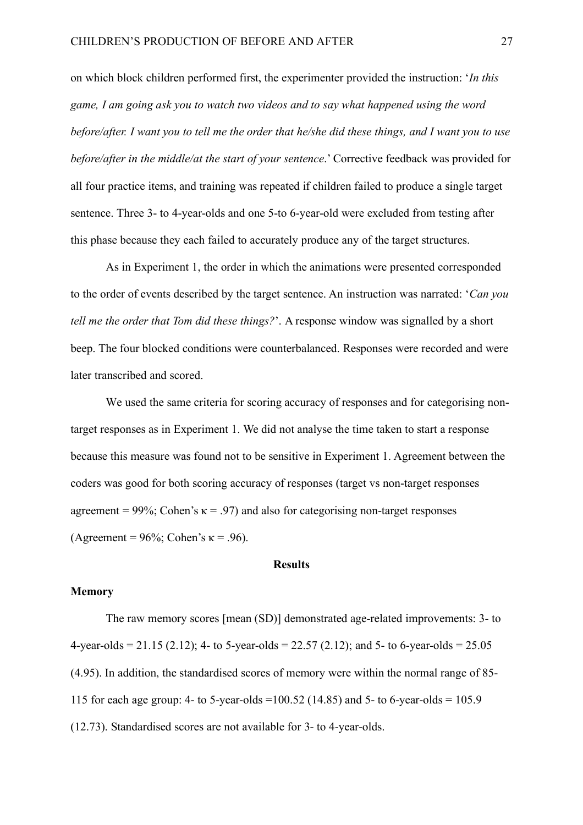on which block children performed first, the experimenter provided the instruction: '*In this game, I am going ask you to watch two videos and to say what happened using the word before/after. I want you to tell me the order that he/she did these things, and I want you to use before/after in the middle/at the start of your sentence*.' Corrective feedback was provided for all four practice items, and training was repeated if children failed to produce a single target sentence. Three 3- to 4-year-olds and one 5-to 6-year-old were excluded from testing after this phase because they each failed to accurately produce any of the target structures.

As in Experiment 1, the order in which the animations were presented corresponded to the order of events described by the target sentence. An instruction was narrated: '*Can you tell me the order that Tom did these things?*'. A response window was signalled by a short beep. The four blocked conditions were counterbalanced. Responses were recorded and were later transcribed and scored.

We used the same criteria for scoring accuracy of responses and for categorising nontarget responses as in Experiment 1. We did not analyse the time taken to start a response because this measure was found not to be sensitive in Experiment 1. Agreement between the coders was good for both scoring accuracy of responses (target vs non-target responses agreement = 99%; Cohen's  $\kappa$  = .97) and also for categorising non-target responses (Agreement =  $96\%$ ; Cohen's  $\kappa$  = .96).

### **Results**

#### **Memory**

The raw memory scores [mean (SD)] demonstrated age-related improvements: 3- to 4-year-olds = 21.15 (2.12); 4- to 5-year-olds = 22.57 (2.12); and 5- to 6-year-olds = 25.05 (4.95). In addition, the standardised scores of memory were within the normal range of 85- 115 for each age group: 4- to 5-year-olds =100.52 (14.85) and 5- to 6-year-olds = 105.9 (12.73). Standardised scores are not available for 3- to 4-year-olds.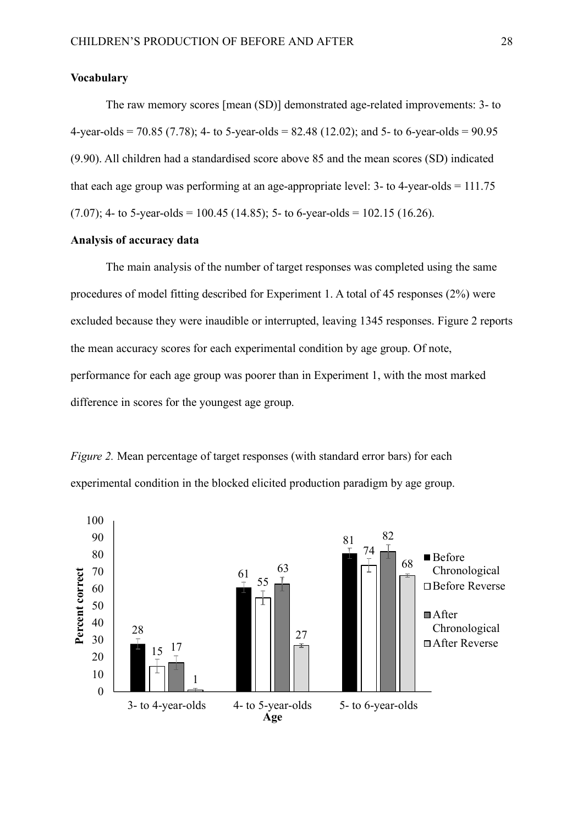#### **Vocabulary**

The raw memory scores [mean (SD)] demonstrated age-related improvements: 3- to 4-year-olds = 70.85 (7.78); 4- to 5-year-olds = 82.48 (12.02); and 5- to 6-year-olds = 90.95 (9.90). All children had a standardised score above 85 and the mean scores (SD) indicated that each age group was performing at an age-appropriate level:  $3$ - to  $4$ -year-olds = 111.75  $(7.07)$ ; 4- to 5-year-olds = 100.45 (14.85); 5- to 6-year-olds = 102.15 (16.26).

### **Analysis of accuracy data**

The main analysis of the number of target responses was completed using the same procedures of model fitting described for Experiment 1. A total of 45 responses (2%) were excluded because they were inaudible or interrupted, leaving 1345 responses. Figure 2 reports the mean accuracy scores for each experimental condition by age group. Of note, performance for each age group was poorer than in Experiment 1, with the most marked difference in scores for the youngest age group.

*Figure 2.* Mean percentage of target responses (with standard error bars) for each experimental condition in the blocked elicited production paradigm by age group.

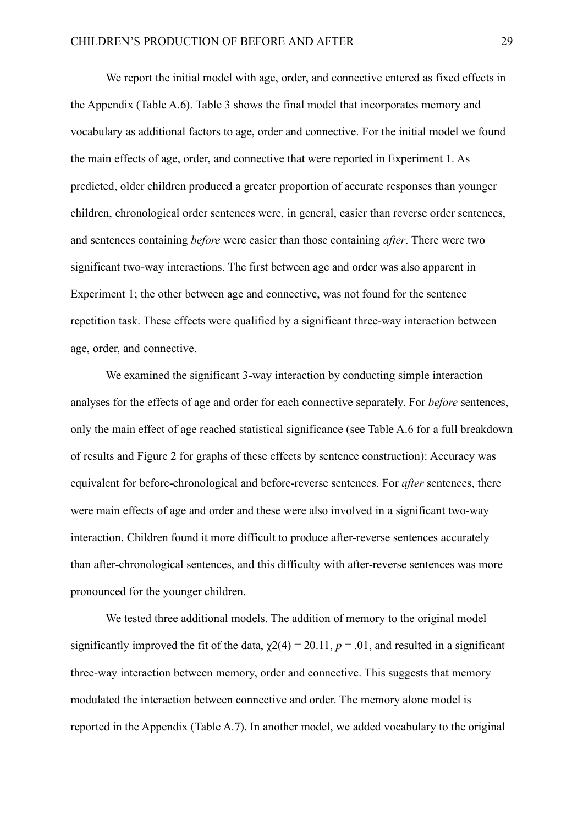We report the initial model with age, order, and connective entered as fixed effects in the Appendix (Table A.6). Table 3 shows the final model that incorporates memory and vocabulary as additional factors to age, order and connective. For the initial model we found the main effects of age, order, and connective that were reported in Experiment 1. As predicted, older children produced a greater proportion of accurate responses than younger children, chronological order sentences were, in general, easier than reverse order sentences, and sentences containing *before* were easier than those containing *after*. There were two significant two-way interactions. The first between age and order was also apparent in Experiment 1; the other between age and connective, was not found for the sentence repetition task. These effects were qualified by a significant three-way interaction between age, order, and connective.

We examined the significant 3-way interaction by conducting simple interaction analyses for the effects of age and order for each connective separately. For *before* sentences, only the main effect of age reached statistical significance (see Table A.6 for a full breakdown of results and Figure 2 for graphs of these effects by sentence construction): Accuracy was equivalent for before-chronological and before-reverse sentences. For *after* sentences, there were main effects of age and order and these were also involved in a significant two-way interaction. Children found it more difficult to produce after-reverse sentences accurately than after-chronological sentences, and this difficulty with after-reverse sentences was more pronounced for the younger children.

We tested three additional models. The addition of memory to the original model significantly improved the fit of the data,  $\chi$ 2(4) = 20.11, *p* = .01, and resulted in a significant three-way interaction between memory, order and connective. This suggests that memory modulated the interaction between connective and order. The memory alone model is reported in the Appendix (Table A.7). In another model, we added vocabulary to the original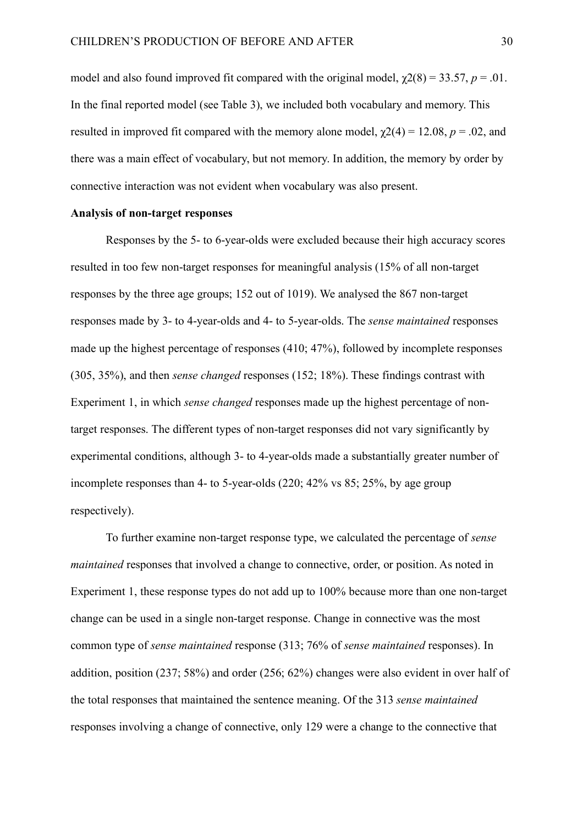model and also found improved fit compared with the original model,  $\gamma(28) = 33.57$ ,  $p = .01$ . In the final reported model (see Table 3), we included both vocabulary and memory. This resulted in improved fit compared with the memory alone model,  $\gamma(24) = 12.08$ ,  $p = .02$ , and there was a main effect of vocabulary, but not memory. In addition, the memory by order by connective interaction was not evident when vocabulary was also present.

#### **Analysis of non-target responses**

Responses by the 5- to 6-year-olds were excluded because their high accuracy scores resulted in too few non-target responses for meaningful analysis (15% of all non-target responses by the three age groups; 152 out of 1019). We analysed the 867 non-target responses made by 3- to 4-year-olds and 4- to 5-year-olds. The *sense maintained* responses made up the highest percentage of responses (410; 47%), followed by incomplete responses (305, 35%), and then *sense changed* responses (152; 18%). These findings contrast with Experiment 1, in which *sense changed* responses made up the highest percentage of nontarget responses. The different types of non-target responses did not vary significantly by experimental conditions, although 3- to 4-year-olds made a substantially greater number of incomplete responses than 4- to 5-year-olds (220; 42% vs 85; 25%, by age group respectively).

To further examine non-target response type, we calculated the percentage of *sense maintained* responses that involved a change to connective, order, or position. As noted in Experiment 1, these response types do not add up to 100% because more than one non-target change can be used in a single non-target response. Change in connective was the most common type of *sense maintained* response (313; 76% of *sense maintained* responses). In addition, position (237; 58%) and order (256; 62%) changes were also evident in over half of the total responses that maintained the sentence meaning. Of the 313 *sense maintained* responses involving a change of connective, only 129 were a change to the connective that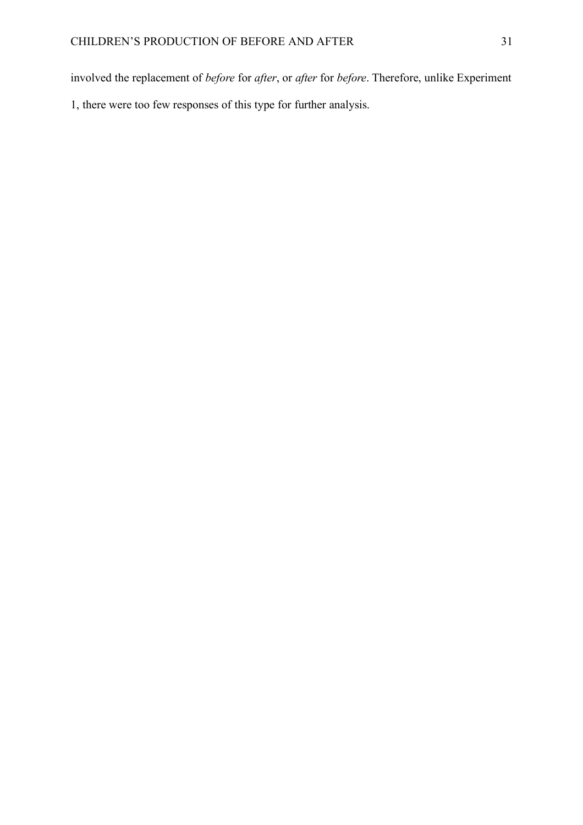involved the replacement of *before* for *after*, or *after* for *before*. Therefore, unlike Experiment 1, there were too few responses of this type for further analysis.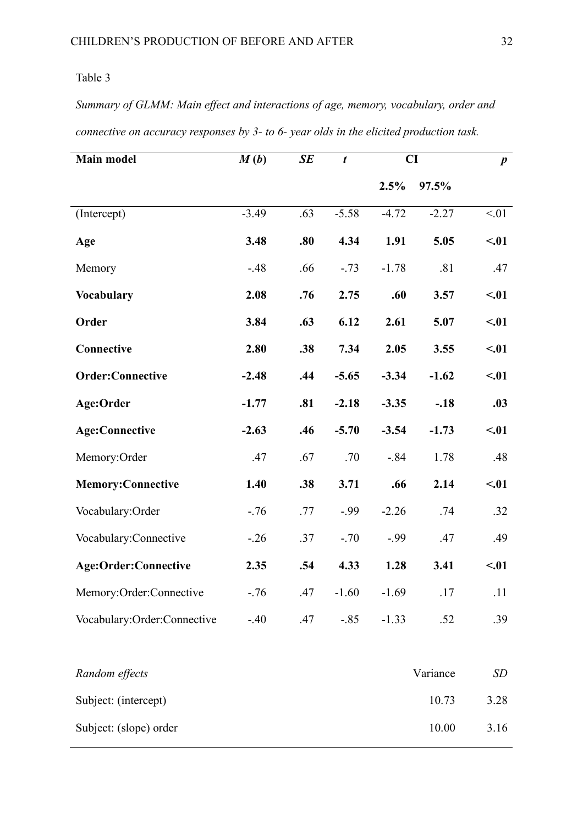## Table 3

*Summary of GLMM: Main effect and interactions of age, memory, vocabulary, order and connective on accuracy responses by 3- to 6- year olds in the elicited production task.*

| Main model                  | M(b)    | SE  | $\boldsymbol{t}$ | CI      | $\boldsymbol{p}$ |             |
|-----------------------------|---------|-----|------------------|---------|------------------|-------------|
|                             |         |     |                  | 2.5%    | 97.5%            |             |
| (Intercept)                 | $-3.49$ | .63 | $-5.58$          | $-4.72$ | $-2.27$          | < 01        |
| Age                         | 3.48    | .80 | 4.34             | 1.91    | 5.05             | $\leq 0.01$ |
| Memory                      | $-48$   | .66 | $-.73$           | $-1.78$ | .81              | .47         |
| <b>Vocabulary</b>           | 2.08    | .76 | 2.75             | .60     | 3.57             | < 01        |
| Order                       | 3.84    | .63 | 6.12             | 2.61    | 5.07             | < .01       |
| Connective                  | 2.80    | .38 | 7.34             | 2.05    | 3.55             | < 01        |
| <b>Order:Connective</b>     | $-2.48$ | .44 | $-5.65$          | $-3.34$ | $-1.62$          | < 01        |
| Age:Order                   | $-1.77$ | .81 | $-2.18$          | $-3.35$ | $-.18$           | .03         |
| <b>Age:Connective</b>       | $-2.63$ | .46 | $-5.70$          | $-3.54$ | $-1.73$          | < 01        |
| Memory: Order               | .47     | .67 | .70              | $-.84$  | 1.78             | .48         |
| <b>Memory:Connective</b>    | 1.40    | .38 | 3.71             | .66     | 2.14             | $\leq 0.01$ |
| Vocabulary:Order            | $-.76$  | .77 | $-.99$           | $-2.26$ | .74              | .32         |
| Vocabulary:Connective       | $-.26$  | .37 | $-.70$           | $-.99$  | .47              | .49         |
| <b>Age:Order:Connective</b> | 2.35    | .54 | 4.33             | 1.28    | 3.41             | < 01        |
| Memory:Order:Connective     | $-76$   | .47 | $-1.60$          | $-1.69$ | .17              | .11         |
| Vocabulary:Order:Connective | $-.40$  | .47 | $-.85$           | $-1.33$ | .52              | .39         |
|                             |         |     |                  |         |                  |             |
| Random effects              |         |     |                  |         | Variance         | SD          |

| Random effects         | Variance | SD   |
|------------------------|----------|------|
| Subject: (intercept)   | 10.73    | 3.28 |
| Subject: (slope) order | 10.00    | 3.16 |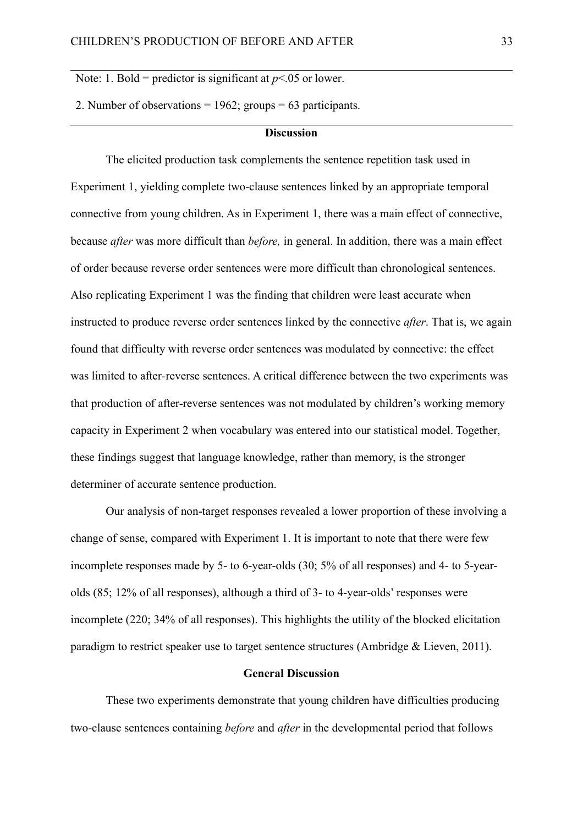Note: 1. Bold = predictor is significant at  $p$  < 05 or lower.

2. Number of observations = 1962; groups = 63 participants.

#### **Discussion**

The elicited production task complements the sentence repetition task used in Experiment 1, yielding complete two-clause sentences linked by an appropriate temporal connective from young children. As in Experiment 1, there was a main effect of connective, because *after* was more difficult than *before,* in general. In addition, there was a main effect of order because reverse order sentences were more difficult than chronological sentences. Also replicating Experiment 1 was the finding that children were least accurate when instructed to produce reverse order sentences linked by the connective *after*. That is, we again found that difficulty with reverse order sentences was modulated by connective: the effect was limited to after*-*reverse sentences. A critical difference between the two experiments was that production of after-reverse sentences was not modulated by children's working memory capacity in Experiment 2 when vocabulary was entered into our statistical model. Together, these findings suggest that language knowledge, rather than memory, is the stronger determiner of accurate sentence production.

Our analysis of non-target responses revealed a lower proportion of these involving a change of sense, compared with Experiment 1. It is important to note that there were few incomplete responses made by 5- to 6-year-olds (30; 5% of all responses) and 4- to 5-yearolds (85; 12% of all responses), although a third of 3- to 4-year-olds' responses were incomplete (220; 34% of all responses). This highlights the utility of the blocked elicitation paradigm to restrict speaker use to target sentence structures (Ambridge & Lieven, 2011).

## **General Discussion**

These two experiments demonstrate that young children have difficulties producing two-clause sentences containing *before* and *after* in the developmental period that follows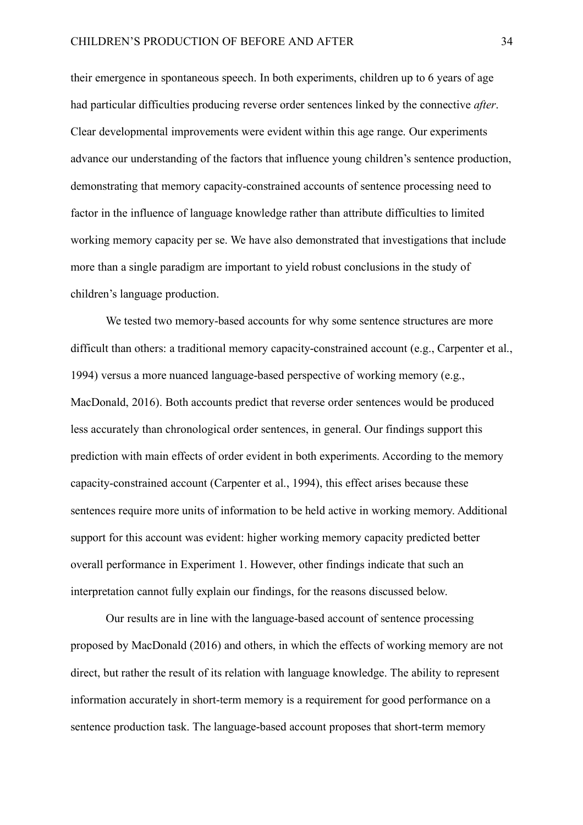their emergence in spontaneous speech. In both experiments, children up to 6 years of age had particular difficulties producing reverse order sentences linked by the connective *after*. Clear developmental improvements were evident within this age range. Our experiments advance our understanding of the factors that influence young children's sentence production, demonstrating that memory capacity-constrained accounts of sentence processing need to factor in the influence of language knowledge rather than attribute difficulties to limited working memory capacity per se. We have also demonstrated that investigations that include more than a single paradigm are important to yield robust conclusions in the study of children's language production.

We tested two memory-based accounts for why some sentence structures are more difficult than others: a traditional memory capacity-constrained account (e.g., Carpenter et al., 1994) versus a more nuanced language-based perspective of working memory (e.g., MacDonald, 2016). Both accounts predict that reverse order sentences would be produced less accurately than chronological order sentences, in general. Our findings support this prediction with main effects of order evident in both experiments. According to the memory capacity-constrained account (Carpenter et al., 1994), this effect arises because these sentences require more units of information to be held active in working memory. Additional support for this account was evident: higher working memory capacity predicted better overall performance in Experiment 1. However, other findings indicate that such an interpretation cannot fully explain our findings, for the reasons discussed below.

Our results are in line with the language-based account of sentence processing proposed by MacDonald (2016) and others, in which the effects of working memory are not direct, but rather the result of its relation with language knowledge. The ability to represent information accurately in short-term memory is a requirement for good performance on a sentence production task. The language-based account proposes that short-term memory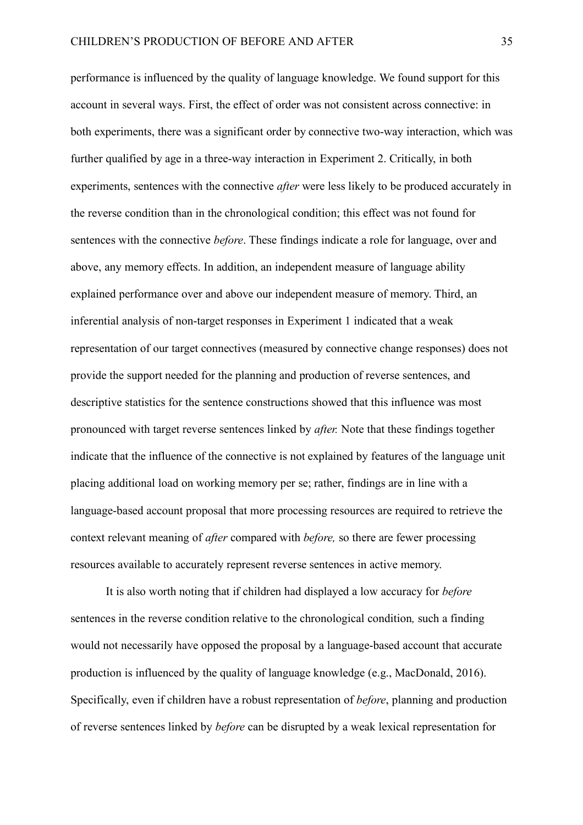performance is influenced by the quality of language knowledge. We found support for this account in several ways. First, the effect of order was not consistent across connective: in both experiments, there was a significant order by connective two-way interaction, which was further qualified by age in a three-way interaction in Experiment 2. Critically, in both experiments, sentences with the connective *after* were less likely to be produced accurately in the reverse condition than in the chronological condition; this effect was not found for sentences with the connective *before*. These findings indicate a role for language, over and above, any memory effects. In addition, an independent measure of language ability explained performance over and above our independent measure of memory. Third, an inferential analysis of non-target responses in Experiment 1 indicated that a weak representation of our target connectives (measured by connective change responses) does not provide the support needed for the planning and production of reverse sentences, and descriptive statistics for the sentence constructions showed that this influence was most pronounced with target reverse sentences linked by *after.* Note that these findings together indicate that the influence of the connective is not explained by features of the language unit placing additional load on working memory per se; rather, findings are in line with a language-based account proposal that more processing resources are required to retrieve the context relevant meaning of *after* compared with *before,* so there are fewer processing resources available to accurately represent reverse sentences in active memory.

It is also worth noting that if children had displayed a low accuracy for *before* sentences in the reverse condition relative to the chronological condition*,* such a finding would not necessarily have opposed the proposal by a language-based account that accurate production is influenced by the quality of language knowledge (e.g., MacDonald, 2016). Specifically, even if children have a robust representation of *before*, planning and production of reverse sentences linked by *before* can be disrupted by a weak lexical representation for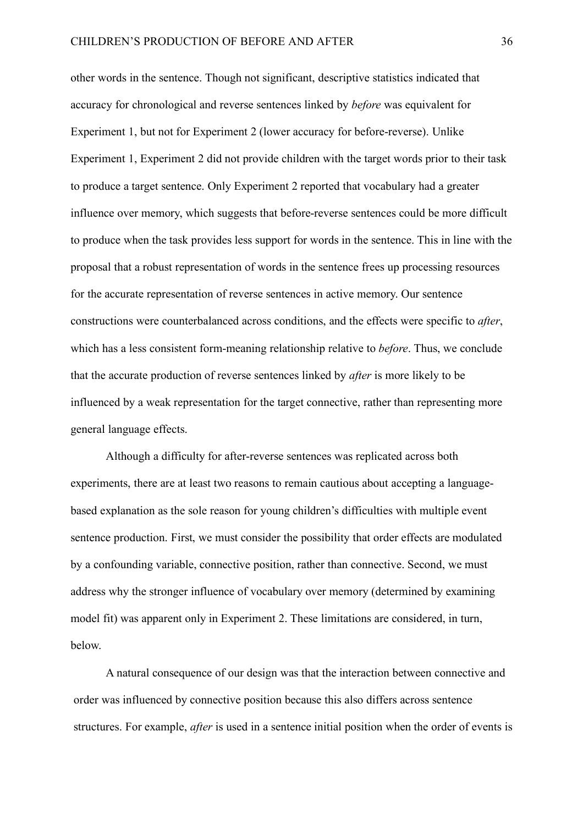other words in the sentence. Though not significant, descriptive statistics indicated that accuracy for chronological and reverse sentences linked by *before* was equivalent for Experiment 1, but not for Experiment 2 (lower accuracy for before-reverse). Unlike Experiment 1, Experiment 2 did not provide children with the target words prior to their task to produce a target sentence. Only Experiment 2 reported that vocabulary had a greater influence over memory, which suggests that before-reverse sentences could be more difficult to produce when the task provides less support for words in the sentence. This in line with the proposal that a robust representation of words in the sentence frees up processing resources for the accurate representation of reverse sentences in active memory. Our sentence constructions were counterbalanced across conditions, and the effects were specific to *after*, which has a less consistent form-meaning relationship relative to *before*. Thus, we conclude that the accurate production of reverse sentences linked by *after* is more likely to be influenced by a weak representation for the target connective, rather than representing more general language effects.

Although a difficulty for after-reverse sentences was replicated across both experiments, there are at least two reasons to remain cautious about accepting a languagebased explanation as the sole reason for young children's difficulties with multiple event sentence production. First, we must consider the possibility that order effects are modulated by a confounding variable, connective position, rather than connective. Second, we must address why the stronger influence of vocabulary over memory (determined by examining model fit) was apparent only in Experiment 2. These limitations are considered, in turn, below.

A natural consequence of our design was that the interaction between connective and order was influenced by connective position because this also differs across sentence structures. For example, *after* is used in a sentence initial position when the order of events is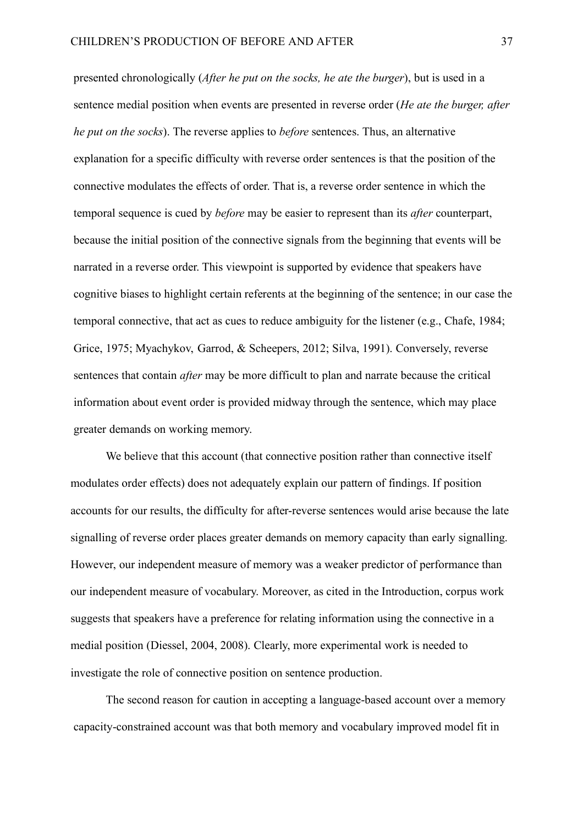presented chronologically (*After he put on the socks, he ate the burger*), but is used in a sentence medial position when events are presented in reverse order (*He ate the burger, after he put on the socks*). The reverse applies to *before* sentences. Thus, an alternative explanation for a specific difficulty with reverse order sentences is that the position of the connective modulates the effects of order. That is, a reverse order sentence in which the temporal sequence is cued by *before* may be easier to represent than its *after* counterpart, because the initial position of the connective signals from the beginning that events will be narrated in a reverse order. This viewpoint is supported by evidence that speakers have cognitive biases to highlight certain referents at the beginning of the sentence; in our case the temporal connective, that act as cues to reduce ambiguity for the listener (e.g., Chafe, 1984; Grice, 1975; Myachykov, Garrod, & Scheepers, 2012; Silva, 1991). Conversely, reverse sentences that contain *after* may be more difficult to plan and narrate because the critical information about event order is provided midway through the sentence, which may place greater demands on working memory.

We believe that this account (that connective position rather than connective itself modulates order effects) does not adequately explain our pattern of findings. If position accounts for our results, the difficulty for after-reverse sentences would arise because the late signalling of reverse order places greater demands on memory capacity than early signalling. However, our independent measure of memory was a weaker predictor of performance than our independent measure of vocabulary. Moreover, as cited in the Introduction, corpus work suggests that speakers have a preference for relating information using the connective in a medial position (Diessel, 2004, 2008). Clearly, more experimental work is needed to investigate the role of connective position on sentence production.

The second reason for caution in accepting a language-based account over a memory capacity-constrained account was that both memory and vocabulary improved model fit in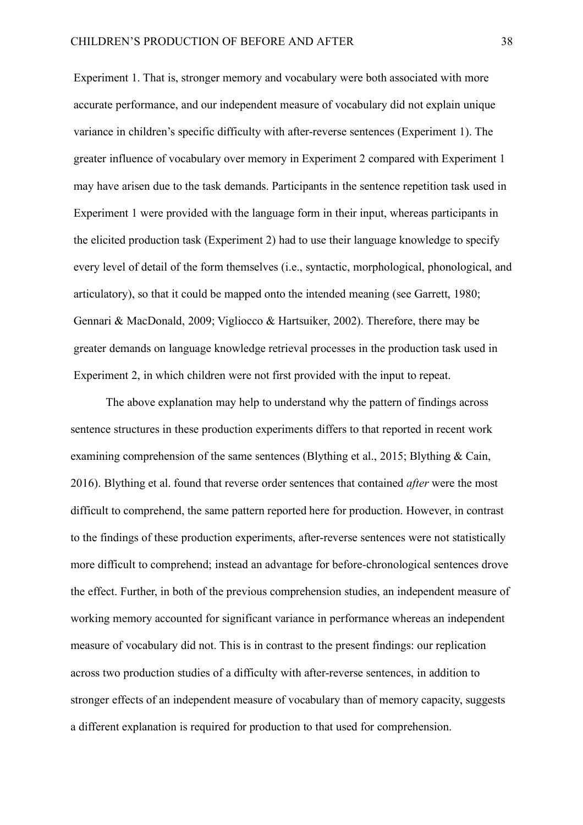Experiment 1. That is, stronger memory and vocabulary were both associated with more accurate performance, and our independent measure of vocabulary did not explain unique variance in children's specific difficulty with after-reverse sentences (Experiment 1). The greater influence of vocabulary over memory in Experiment 2 compared with Experiment 1 may have arisen due to the task demands. Participants in the sentence repetition task used in Experiment 1 were provided with the language form in their input, whereas participants in the elicited production task (Experiment 2) had to use their language knowledge to specify every level of detail of the form themselves (i.e., syntactic, morphological, phonological, and articulatory), so that it could be mapped onto the intended meaning (see Garrett, 1980; Gennari & MacDonald, 2009; Vigliocco & Hartsuiker, 2002). Therefore, there may be greater demands on language knowledge retrieval processes in the production task used in Experiment 2, in which children were not first provided with the input to repeat.

The above explanation may help to understand why the pattern of findings across sentence structures in these production experiments differs to that reported in recent work examining comprehension of the same sentences (Blything et al., 2015; Blything & Cain, 2016). Blything et al. found that reverse order sentences that contained *after* were the most difficult to comprehend, the same pattern reported here for production. However, in contrast to the findings of these production experiments, after-reverse sentences were not statistically more difficult to comprehend; instead an advantage for before*-*chronological sentences drove the effect. Further, in both of the previous comprehension studies, an independent measure of working memory accounted for significant variance in performance whereas an independent measure of vocabulary did not. This is in contrast to the present findings: our replication across two production studies of a difficulty with after-reverse sentences, in addition to stronger effects of an independent measure of vocabulary than of memory capacity, suggests a different explanation is required for production to that used for comprehension.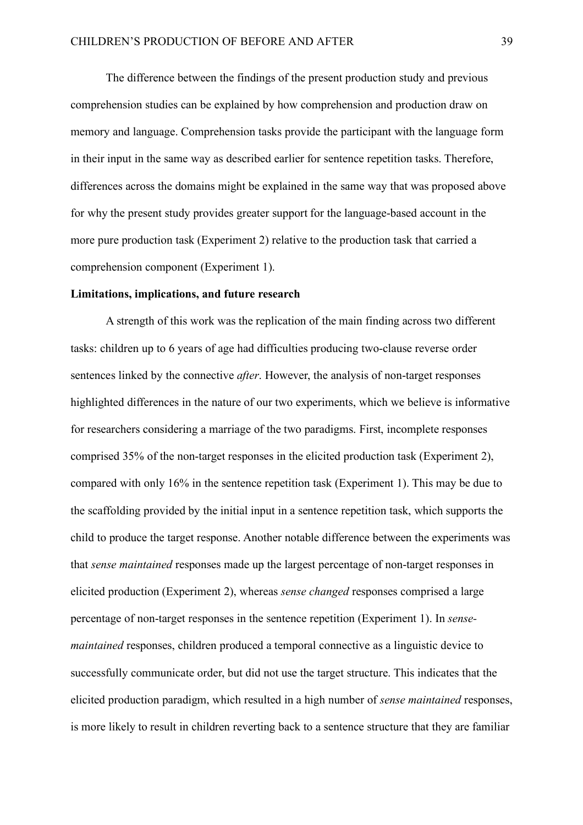The difference between the findings of the present production study and previous comprehension studies can be explained by how comprehension and production draw on memory and language. Comprehension tasks provide the participant with the language form in their input in the same way as described earlier for sentence repetition tasks. Therefore, differences across the domains might be explained in the same way that was proposed above for why the present study provides greater support for the language-based account in the more pure production task (Experiment 2) relative to the production task that carried a comprehension component (Experiment 1).

## **Limitations, implications, and future research**

A strength of this work was the replication of the main finding across two different tasks: children up to 6 years of age had difficulties producing two-clause reverse order sentences linked by the connective *after*. However, the analysis of non-target responses highlighted differences in the nature of our two experiments, which we believe is informative for researchers considering a marriage of the two paradigms. First, incomplete responses comprised 35% of the non-target responses in the elicited production task (Experiment 2), compared with only 16% in the sentence repetition task (Experiment 1). This may be due to the scaffolding provided by the initial input in a sentence repetition task, which supports the child to produce the target response. Another notable difference between the experiments was that *sense maintained* responses made up the largest percentage of non-target responses in elicited production (Experiment 2), whereas *sense changed* responses comprised a large percentage of non-target responses in the sentence repetition (Experiment 1). In *sensemaintained* responses, children produced a temporal connective as a linguistic device to successfully communicate order, but did not use the target structure. This indicates that the elicited production paradigm, which resulted in a high number of *sense maintained* responses, is more likely to result in children reverting back to a sentence structure that they are familiar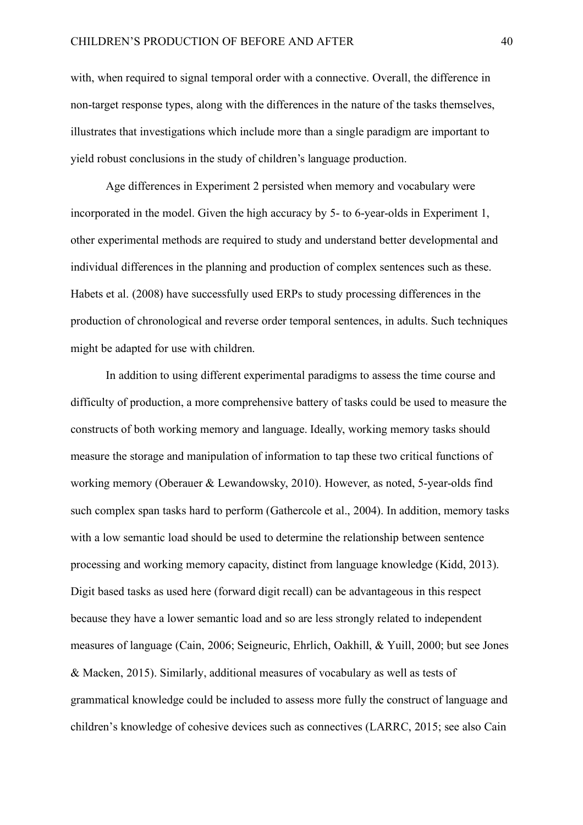with, when required to signal temporal order with a connective. Overall, the difference in non-target response types, along with the differences in the nature of the tasks themselves, illustrates that investigations which include more than a single paradigm are important to yield robust conclusions in the study of children's language production.

Age differences in Experiment 2 persisted when memory and vocabulary were incorporated in the model. Given the high accuracy by 5- to 6-year-olds in Experiment 1, other experimental methods are required to study and understand better developmental and individual differences in the planning and production of complex sentences such as these. Habets et al. (2008) have successfully used ERPs to study processing differences in the production of chronological and reverse order temporal sentences, in adults. Such techniques might be adapted for use with children.

In addition to using different experimental paradigms to assess the time course and difficulty of production, a more comprehensive battery of tasks could be used to measure the constructs of both working memory and language. Ideally, working memory tasks should measure the storage and manipulation of information to tap these two critical functions of working memory (Oberauer & Lewandowsky, 2010). However, as noted, 5-year-olds find such complex span tasks hard to perform (Gathercole et al., 2004). In addition, memory tasks with a low semantic load should be used to determine the relationship between sentence processing and working memory capacity, distinct from language knowledge (Kidd, 2013). Digit based tasks as used here (forward digit recall) can be advantageous in this respect because they have a lower semantic load and so are less strongly related to independent measures of language (Cain, 2006; Seigneuric, Ehrlich, Oakhill, & Yuill, 2000; but see Jones & Macken, 2015). Similarly, additional measures of vocabulary as well as tests of grammatical knowledge could be included to assess more fully the construct of language and children's knowledge of cohesive devices such as connectives (LARRC, 2015; see also Cain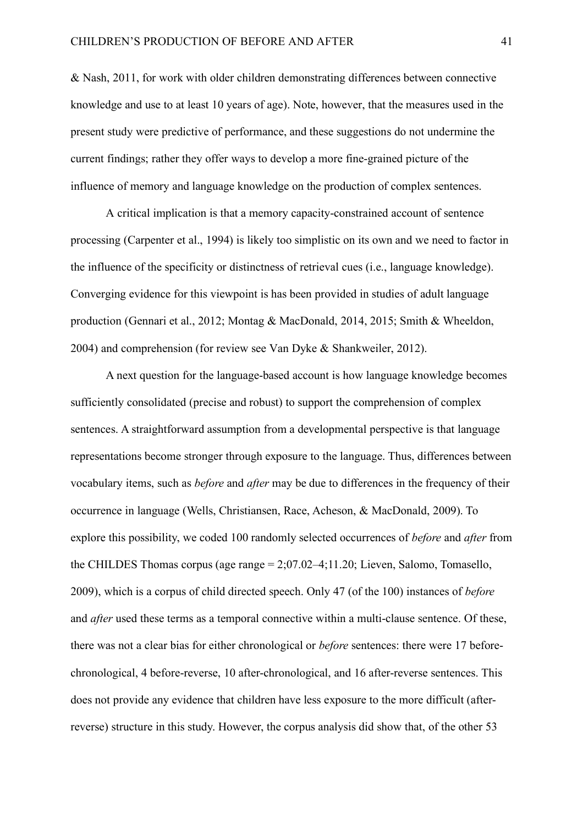& Nash, 2011, for work with older children demonstrating differences between connective knowledge and use to at least 10 years of age). Note, however, that the measures used in the present study were predictive of performance, and these suggestions do not undermine the current findings; rather they offer ways to develop a more fine-grained picture of the influence of memory and language knowledge on the production of complex sentences.

A critical implication is that a memory capacity-constrained account of sentence processing (Carpenter et al., 1994) is likely too simplistic on its own and we need to factor in the influence of the specificity or distinctness of retrieval cues (i.e., language knowledge). Converging evidence for this viewpoint is has been provided in studies of adult language production (Gennari et al., 2012; Montag & MacDonald, 2014, 2015; Smith & Wheeldon, 2004) and comprehension (for review see Van Dyke & Shankweiler, 2012).

A next question for the language-based account is how language knowledge becomes sufficiently consolidated (precise and robust) to support the comprehension of complex sentences. A straightforward assumption from a developmental perspective is that language representations become stronger through exposure to the language. Thus, differences between vocabulary items, such as *before* and *after* may be due to differences in the frequency of their occurrence in language (Wells, Christiansen, Race, Acheson, & MacDonald, 2009). To explore this possibility, we coded 100 randomly selected occurrences of *before* and *after* from the CHILDES Thomas corpus (age range = 2;07.02–4;11.20; Lieven, Salomo, Tomasello, 2009), which is a corpus of child directed speech. Only 47 (of the 100) instances of *before*  and *after* used these terms as a temporal connective within a multi-clause sentence. Of these, there was not a clear bias for either chronological or *before* sentences: there were 17 beforechronological, 4 before-reverse, 10 after-chronological, and 16 after-reverse sentences. This does not provide any evidence that children have less exposure to the more difficult (afterreverse) structure in this study. However, the corpus analysis did show that, of the other 53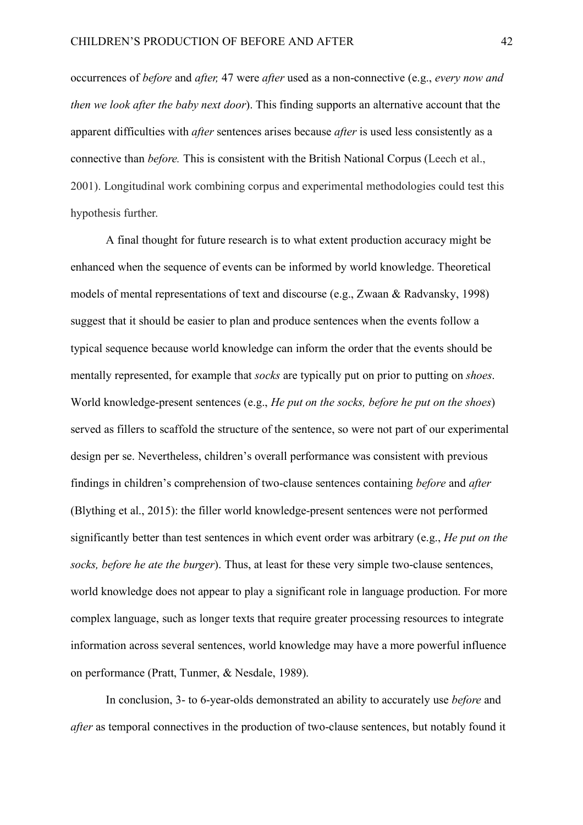occurrences of *before* and *after,* 47 were *after* used as a non-connective (e.g., *every now and then we look after the baby next door*). This finding supports an alternative account that the apparent difficulties with *after* sentences arises because *after* is used less consistently as a connective than *before.* This is consistent with the British National Corpus (Leech et al., 2001). Longitudinal work combining corpus and experimental methodologies could test this hypothesis further.

A final thought for future research is to what extent production accuracy might be enhanced when the sequence of events can be informed by world knowledge. Theoretical models of mental representations of text and discourse (e.g., Zwaan & Radvansky, 1998) suggest that it should be easier to plan and produce sentences when the events follow a typical sequence because world knowledge can inform the order that the events should be mentally represented, for example that *socks* are typically put on prior to putting on *shoes*. World knowledge-present sentences (e.g., *He put on the socks, before he put on the shoes*) served as fillers to scaffold the structure of the sentence, so were not part of our experimental design per se. Nevertheless, children's overall performance was consistent with previous findings in children's comprehension of two-clause sentences containing *before* and *after* (Blything et al., 2015): the filler world knowledge-present sentences were not performed significantly better than test sentences in which event order was arbitrary (e.g., *He put on the socks, before he ate the burger*). Thus, at least for these very simple two-clause sentences, world knowledge does not appear to play a significant role in language production. For more complex language, such as longer texts that require greater processing resources to integrate information across several sentences, world knowledge may have a more powerful influence on performance (Pratt, Tunmer, & Nesdale, 1989).

In conclusion, 3- to 6-year-olds demonstrated an ability to accurately use *before* and *after* as temporal connectives in the production of two-clause sentences, but notably found it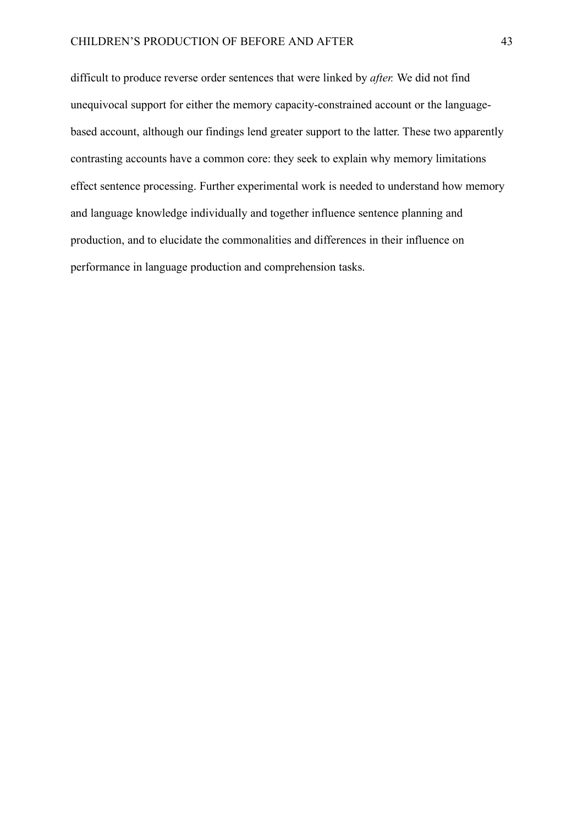difficult to produce reverse order sentences that were linked by *after.* We did not find unequivocal support for either the memory capacity-constrained account or the languagebased account, although our findings lend greater support to the latter. These two apparently contrasting accounts have a common core: they seek to explain why memory limitations effect sentence processing. Further experimental work is needed to understand how memory and language knowledge individually and together influence sentence planning and production, and to elucidate the commonalities and differences in their influence on performance in language production and comprehension tasks.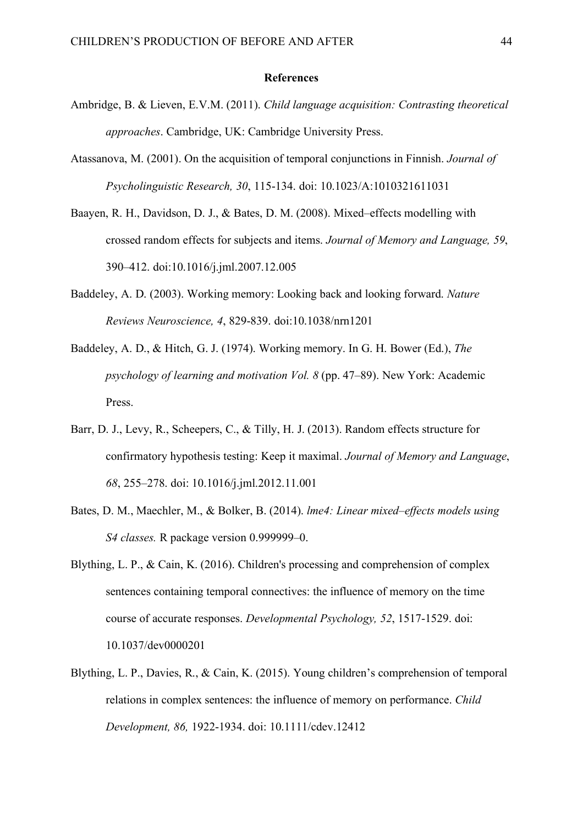#### **References**

- Ambridge, B. & Lieven, E.V.M. (2011). *Child language acquisition: Contrasting theoretical approaches*. Cambridge, UK: Cambridge University Press.
- Atassanova, M. (2001). On the acquisition of temporal conjunctions in Finnish. *Journal of Psycholinguistic Research, 30*, 115-134. doi: 10.1023/A:1010321611031
- Baayen, R. H., Davidson, D. J., & Bates, D. M. (2008). Mixed–effects modelling with crossed random effects for subjects and items. *Journal of Memory and Language, 59*, 390–412. doi:10.1016/j.jml.2007.12.005
- Baddeley, A. D. (2003). Working memory: Looking back and looking forward. *Nature Reviews Neuroscience, 4*, 829-839. doi:10.1038/nrn1201
- Baddeley, A. D., & Hitch, G. J. (1974). Working memory. In G. H. Bower (Ed.), *The psychology of learning and motivation Vol. 8* (pp. 47–89). New York: Academic Press.
- Barr, D. J., Levy, R., Scheepers, C., & Tilly, H. J. (2013). Random effects structure for confirmatory hypothesis testing: Keep it maximal. *Journal of Memory and Language*, *68*, 255–278. doi: 10.1016/j.jml.2012.11.001
- Bates, D. M., Maechler, M., & Bolker, B. (2014). *lme4: Linear mixed–effects models using S4 classes.* R package version 0.999999–0.
- Blything, L. P., & Cain, K. (2016). Children's processing and comprehension of complex sentences containing temporal connectives: the influence of memory on the time course of accurate responses. *Developmental Psychology, 52*, 1517-1529. doi: 10.1037/dev0000201
- Blything, L. P., Davies, R., & Cain, K. (2015). Young children's comprehension of temporal relations in complex sentences: the influence of memory on performance. *Child Development, 86,* 1922-1934. doi: 10.1111/cdev.12412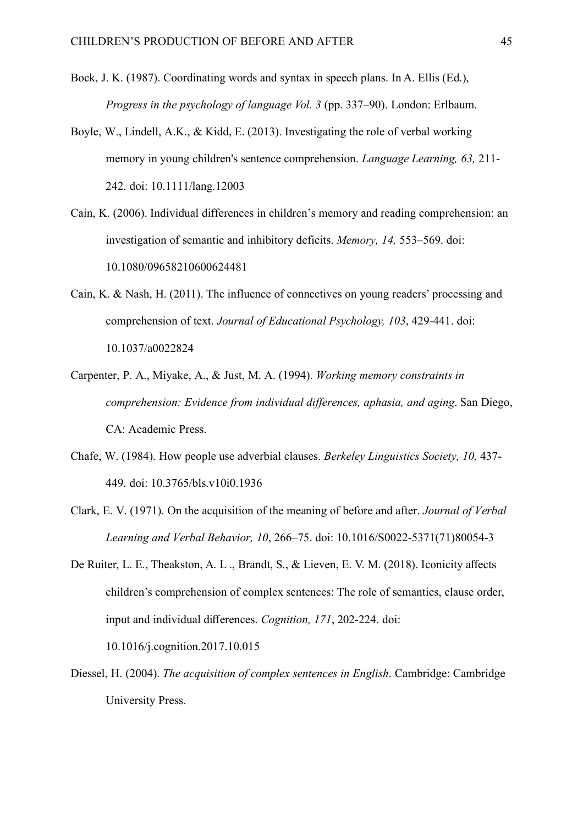- Bock, J. K. (1987). Coordinating words and syntax in speech plans. In A. Ellis (Ed.), *Progress in the psychology of language Vol. 3* (pp. 337–90). London: Erlbaum.
- Boyle, W., Lindell, A.K., & Kidd, E. (2013). Investigating the role of verbal working memory in young children's sentence comprehension. *Language Learning, 63,* 211- 242. doi: 10.1111/lang.12003
- Cain, K. (2006). Individual differences in children's memory and reading comprehension: an investigation of semantic and inhibitory deficits. *Memory, 14,* 553–569. doi: 10.1080/09658210600624481
- Cain, K. & Nash, H. (2011). The influence of connectives on young readers' processing and comprehension of text. *Journal of Educational Psychology, 103*, 429-441. doi: 10.1037/a0022824
- Carpenter, P. A., Miyake, A., & Just, M. A. (1994). *Working memory constraints in comprehension: Evidence from individual differences, aphasia, and aging*. San Diego, CA: Academic Press.
- Chafe, W. (1984). How people use adverbial clauses. *Berkeley Linguistics Society, 10,* 437- 449. doi: 10.3765/bls.v10i0.1936
- Clark, E. V. (1971). On the acquisition of the meaning of before and after. *Journal of Verbal Learning and Verbal Behavior, 10*, 266–75. doi: 10.1016/S0022-5371(71)80054-3
- De Ruiter, L. E., Theakston, A. L ., Brandt, S., & Lieven, E. V. M. (2018). Iconicity affects children's comprehension of complex sentences: The role of semantics, clause order, input and individual differences. *Cognition, 171*, 202-224. doi:

10.1016/j.cognition.2017.10.015

Diessel, H. (2004). *The acquisition of complex sentences in English*. Cambridge: Cambridge University Press.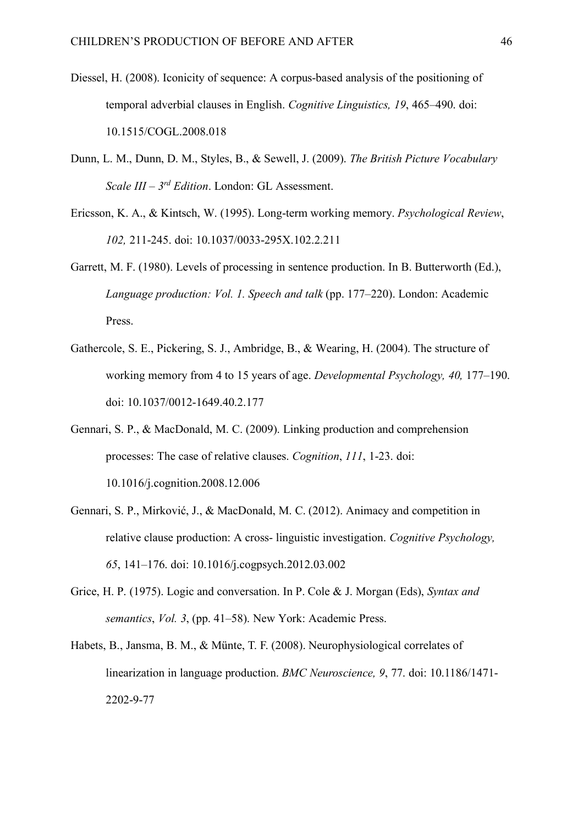- Diessel, H. (2008). Iconicity of sequence: A corpus-based analysis of the positioning of temporal adverbial clauses in English. *Cognitive Linguistics, 19*, 465–490. doi: 10.1515/COGL.2008.018
- Dunn, L. M., Dunn, D. M., Styles, B., & Sewell, J. (2009). *The British Picture Vocabulary Scale III – 3rd Edition*. London: GL Assessment.
- Ericsson, K. A., & Kintsch, W. (1995). Long-term working memory. *Psychological Review*, *102,* 211-245. doi: 10.1037/0033-295X.102.2.211

Garrett, M. F. (1980). Levels of processing in sentence production. In B. Butterworth (Ed.), *Language production: Vol. 1. Speech and talk* (pp. 177–220). London: Academic Press.

- Gathercole, S. E., Pickering, S. J., Ambridge, B., & Wearing, H. (2004). The structure of working memory from 4 to 15 years of age. *Developmental Psychology, 40,* 177–190. doi: 10.1037/0012-1649.40.2.177
- Gennari, S. P., & MacDonald, M. C. (2009). Linking production and comprehension processes: The case of relative clauses. *Cognition*, *111*, 1-23. doi: 10.1016/j.cognition.2008.12.006
- Gennari, S. P., Mirković, J., & MacDonald, M. C. (2012). Animacy and competition in relative clause production: A cross- linguistic investigation. *Cognitive Psychology, 65*, 141–176. doi: 10.1016/j.cogpsych.2012.03.002
- Grice, H. P. (1975). Logic and conversation. In P. Cole & J. Morgan (Eds), *Syntax and semantics*, *Vol. 3*, (pp. 41–58). New York: Academic Press.
- Habets, B., Jansma, B. M., & Münte, T. F. (2008). Neurophysiological correlates of linearization in language production. *BMC Neuroscience, 9*, 77. doi: 10.1186/1471- 2202-9-77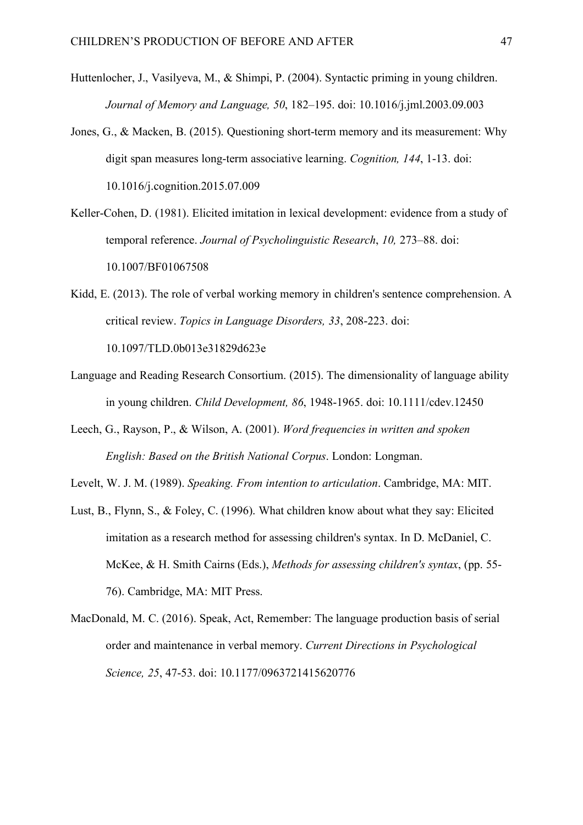- Huttenlocher, J., Vasilyeva, M., & Shimpi, P. (2004). Syntactic priming in young children. *Journal of Memory and Language, 50*, 182–195. doi: 10.1016/j.jml.2003.09.003
- Jones, G., & Macken, B. (2015). Questioning short-term memory and its measurement: Why digit span measures long-term associative learning. *Cognition, 144*, 1-13. doi: 10.1016/j.cognition.2015.07.009
- Keller-Cohen, D. (1981). Elicited imitation in lexical development: evidence from a study of temporal reference. *Journal of Psycholinguistic Research*, *10,* 273–88. doi: 10.1007/BF01067508
- Kidd, E. (2013). The role of verbal working memory in children's sentence comprehension. A critical review. *Topics in Language Disorders, 33*, 208-223. doi: 10.1097/TLD.0b013e31829d623e
- Language and Reading Research Consortium. (2015). The dimensionality of language ability in young children. *Child Development, 86*, 1948-1965. doi: 10.1111/cdev.12450
- Leech, G., Rayson, P., & Wilson, A. (2001). *Word frequencies in written and spoken English: Based on the British National Corpus*. London: Longman.
- Levelt, W. J. M. (1989). *Speaking. From intention to articulation*. Cambridge, MA: MIT.
- Lust, B., Flynn, S., & Foley, C. (1996). What children know about what they say: Elicited imitation as a research method for assessing children's syntax. In D. McDaniel, C. McKee, & H. Smith Cairns (Eds.), *Methods for assessing children's syntax*, (pp. 55- 76). Cambridge, MA: MIT Press.
- MacDonald, M. C. (2016). Speak, Act, Remember: The language production basis of serial order and maintenance in verbal memory. *Current Directions in Psychological Science, 25*, 47-53. doi: 10.1177/0963721415620776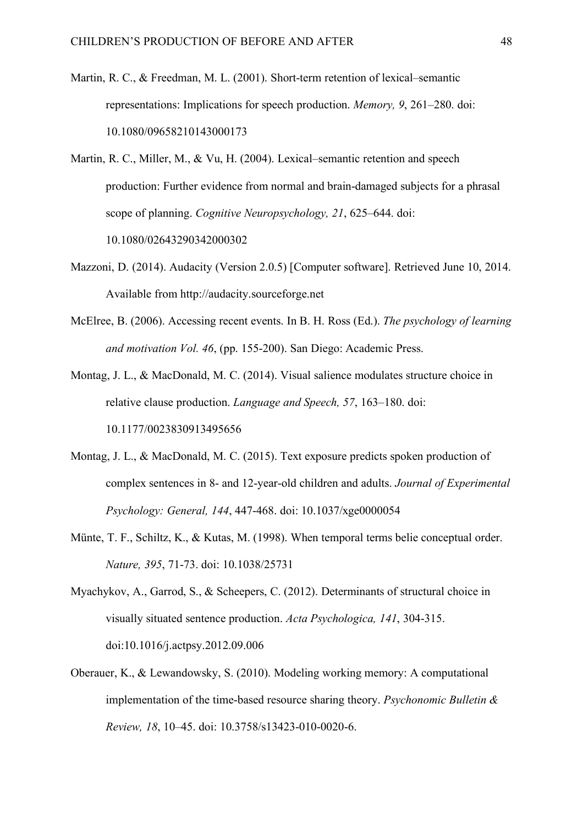- Martin, R. C., & Freedman, M. L. (2001). Short-term retention of lexical–semantic representations: Implications for speech production. *Memory, 9*, 261–280. doi: 10.1080/09658210143000173
- Martin, R. C., Miller, M., & Vu, H. (2004). Lexical–semantic retention and speech production: Further evidence from normal and brain-damaged subjects for a phrasal scope of planning. *Cognitive Neuropsychology, 21*, 625–644. doi: 10.1080/02643290342000302
- Mazzoni, D. (2014). Audacity (Version 2.0.5) [Computer software]. Retrieved June 10, 2014. Available from http://audacity.sourceforge.net
- McElree, B. (2006). Accessing recent events. In B. H. Ross (Ed.). *The psychology of learning and motivation Vol. 46*, (pp. 155-200). San Diego: Academic Press.
- Montag, J. L., & MacDonald, M. C. (2014). Visual salience modulates structure choice in relative clause production. *Language and Speech, 57*, 163–180. doi: 10.1177/0023830913495656
- Montag, J. L., & MacDonald, M. C. (2015). Text exposure predicts spoken production of complex sentences in 8- and 12-year-old children and adults. *Journal of Experimental Psychology: General, 144*, 447-468. doi: 10.1037/xge0000054
- Münte, T. F., Schiltz, K., & Kutas, M. (1998). When temporal terms belie conceptual order. *Nature, 395*, 71-73. doi: 10.1038/25731
- Myachykov, A., Garrod, S., & Scheepers, C. (2012). Determinants of structural choice in visually situated sentence production. *Acta Psychologica, 141*, 304-315. doi:10.1016/j.actpsy.2012.09.006
- Oberauer, K., & Lewandowsky, S. (2010). Modeling working memory: A computational implementation of the time-based resource sharing theory. *Psychonomic Bulletin & Review, 18*, 10–45. doi: 10.3758/s13423-010-0020-6.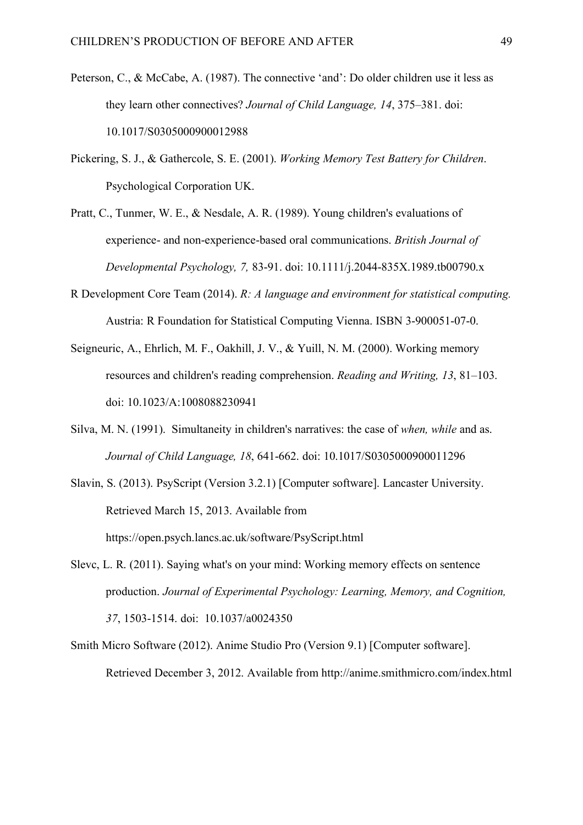- Peterson, C., & McCabe, A. (1987). The connective 'and': Do older children use it less as they learn other connectives? *Journal of Child Language, 14*, 375–381. doi: 10.1017/S0305000900012988
- Pickering, S. J., & Gathercole, S. E. (2001). *Working Memory Test Battery for Children*. Psychological Corporation UK.
- Pratt, C., Tunmer, W. E., & Nesdale, A. R. (1989). Young children's evaluations of experience- and non-experience-based oral communications. *British Journal of Developmental Psychology, 7,* 83-91. doi: 10.1111/j.2044-835X.1989.tb00790.x
- R Development Core Team (2014). *R: A language and environment for statistical computing.* Austria: R Foundation for Statistical Computing Vienna. ISBN 3-900051-07-0.
- Seigneuric, A., Ehrlich, M. F., Oakhill, J. V., & Yuill, N. M. (2000). Working memory resources and children's reading comprehension. *Reading and Writing, 13*, 81–103. doi: 10.1023/A:1008088230941
- Silva, M. N. (1991). Simultaneity in children's narratives: the case of *when, while* and as. *Journal of Child Language, 18*, 641-662. doi: 10.1017/S0305000900011296
- Slavin, S. (2013). PsyScript (Version 3.2.1) [Computer software]. Lancaster University. Retrieved March 15, 2013. Available from https://open.psych.lancs.ac.uk/software/PsyScript.html
- Slevc, L. R. (2011). Saying what's on your mind: Working memory effects on sentence production. *Journal of Experimental Psychology: Learning, Memory, and Cognition, 37*, 1503-1514. doi: 10.1037/a0024350
- Smith Micro Software (2012). Anime Studio Pro (Version 9.1) [Computer software]. Retrieved December 3, 2012. Available from http://anime.smithmicro.com/index.html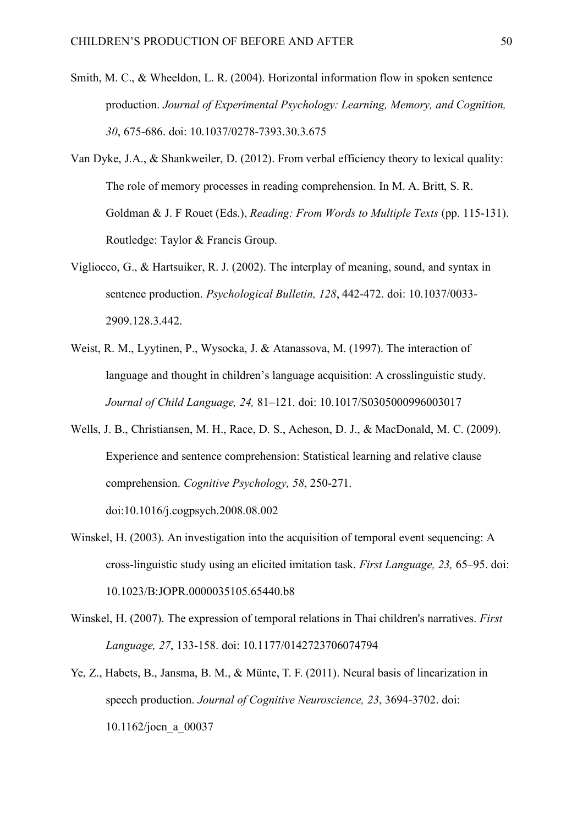- Smith, M. C., & Wheeldon, L. R. (2004). Horizontal information flow in spoken sentence production. *Journal of Experimental Psychology: Learning, Memory, and Cognition, 30*, 675-686. doi: 10.1037/0278-7393.30.3.675
- Van Dyke, J.A., & Shankweiler, D. (2012). From verbal efficiency theory to lexical quality: The role of memory processes in reading comprehension. In M. A. Britt, S. R. Goldman & J. F Rouet (Eds.), *Reading: From Words to Multiple Texts* (pp. 115-131). Routledge: Taylor & Francis Group.
- Vigliocco, G., & Hartsuiker, R. J. (2002). The interplay of meaning, sound, and syntax in sentence production. *Psychological Bulletin, 128*, 442-472. doi: 10.1037/0033- 2909.128.3.442.
- Weist, R. M., Lyytinen, P., Wysocka, J. & Atanassova, M. (1997). The interaction of language and thought in children's language acquisition: A crosslinguistic study. *Journal of Child Language, 24,* 81–121. doi: 10.1017/S0305000996003017
- Wells, J. B., Christiansen, M. H., Race, D. S., Acheson, D. J., & MacDonald, M. C. (2009). Experience and sentence comprehension: Statistical learning and relative clause comprehension. *Cognitive Psychology, 58*, 250-271.

doi:10.1016/j.cogpsych.2008.08.002

- Winskel, H. (2003). An investigation into the acquisition of temporal event sequencing: A cross-linguistic study using an elicited imitation task. *First Language, 23,* 65–95. doi: 10.1023/B:JOPR.0000035105.65440.b8
- Winskel, H. (2007). The expression of temporal relations in Thai children's narratives. *First Language, 27*, 133-158. doi: 10.1177/0142723706074794
- Ye, Z., Habets, B., Jansma, B. M., & Münte, T. F. (2011). Neural basis of linearization in speech production. *Journal of Cognitive Neuroscience, 23*, 3694-3702. doi: 10.1162/jocn\_a\_00037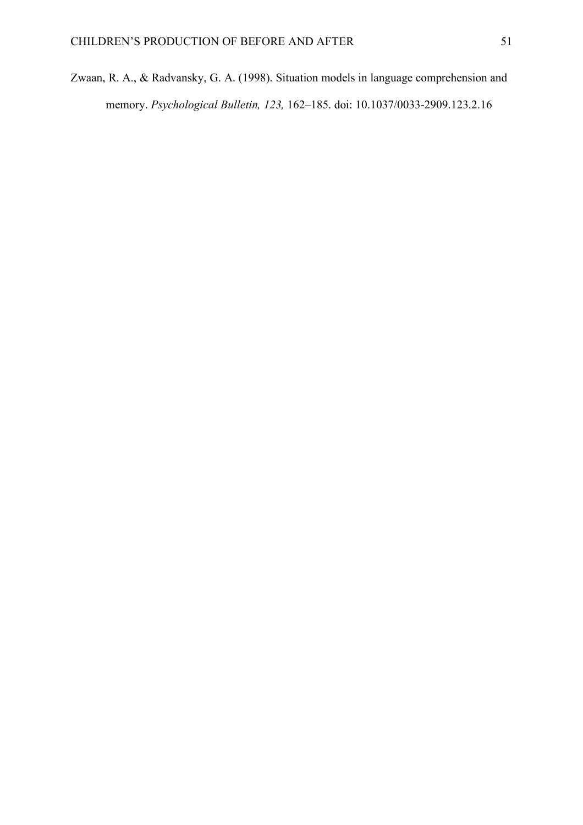Zwaan, R. A., & Radvansky, G. A. (1998). Situation models in language comprehension and memory. *Psychological Bulletin, 123,* 162–185. doi: 10.1037/0033-2909.123.2.16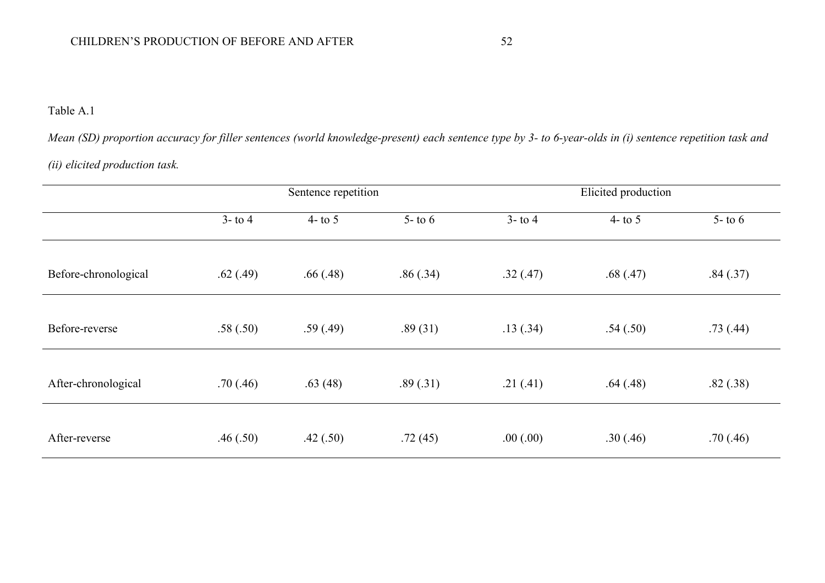*Mean (SD) proportion accuracy for filler sentences (world knowledge-present) each sentence type by 3- to 6-year-olds in (i) sentence repetition task and* 

# *(ii) elicited production task.*

|                      | Sentence repetition |           |            |            | Elicited production |            |  |  |
|----------------------|---------------------|-----------|------------|------------|---------------------|------------|--|--|
|                      | $3 -$ to 4          | 4- to $5$ | $5 -$ to 6 | $3 -$ to 4 | 4- to $5$           | $5 -$ to 6 |  |  |
| Before-chronological | .62(.49)            | .66(.48)  | .86(.34)   | .32(.47)   | .68(.47)            | .84(.37)   |  |  |
| Before-reverse       | .58(.50)            | .59(.49)  | .89(31)    | .13(.34)   | .54(.50)            | .73(.44)   |  |  |
| After-chronological  | .70(.46)            | .63(48)   | .89(.31)   | .21(.41)   | .64(.48)            | .82(.38)   |  |  |
| After-reverse        | .46(.50)            | .42(.50)  | .72(45)    | .00(.00)   | .30(.46)            | .70(.46)   |  |  |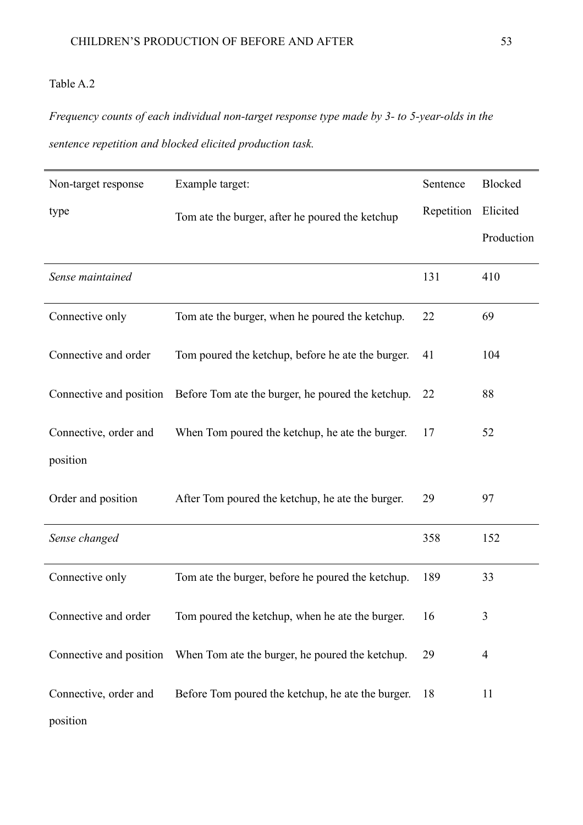*Frequency counts of each individual non-target response type made by 3- to 5-year-olds in the sentence repetition and blocked elicited production task.*

| Non-target response     | Example target:                                               | Sentence | Blocked    |
|-------------------------|---------------------------------------------------------------|----------|------------|
| type                    | Repetition<br>Tom ate the burger, after he poured the ketchup |          | Elicited   |
|                         |                                                               |          | Production |
| Sense maintained        |                                                               | 131      | 410        |
| Connective only         | Tom ate the burger, when he poured the ketchup.               | 22       | 69         |
| Connective and order    | Tom poured the ketchup, before he ate the burger.             | 41       | 104        |
| Connective and position | Before Tom ate the burger, he poured the ketchup.             | 22       | 88         |
| Connective, order and   | When Tom poured the ketchup, he ate the burger.               | 17       | 52         |
| position                |                                                               |          |            |
| Order and position      | After Tom poured the ketchup, he ate the burger.              | 29       | 97         |
| Sense changed           |                                                               | 358      | 152        |
| Connective only         | Tom ate the burger, before he poured the ketchup.             | 189      | 33         |
| Connective and order    | Tom poured the ketchup, when he ate the burger.               | 16       | 3          |
| Connective and position | When Tom ate the burger, he poured the ketchup.               | 29       | 4          |
| Connective, order and   | Before Tom poured the ketchup, he ate the burger.             | 18       | 11         |
| position                |                                                               |          |            |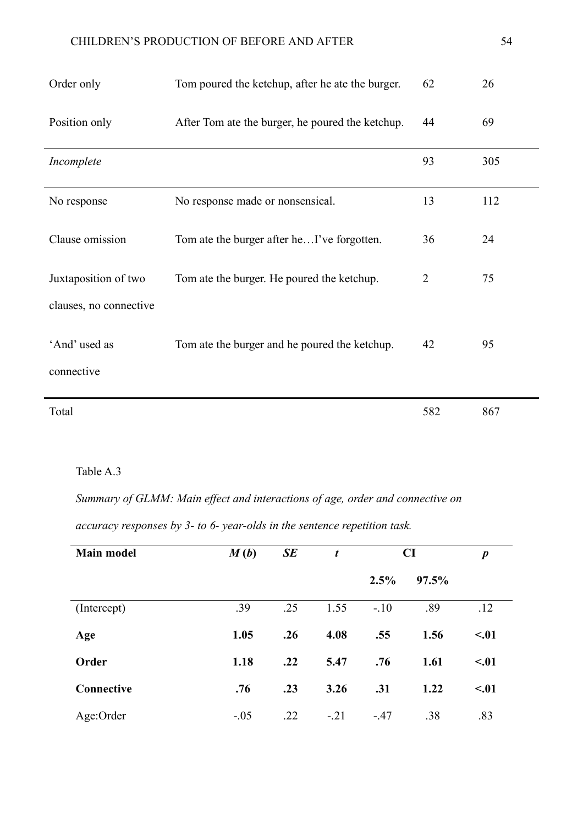| Order only                                     | Tom poured the ketchup, after he ate the burger. | 62             | 26  |
|------------------------------------------------|--------------------------------------------------|----------------|-----|
| Position only                                  | After Tom ate the burger, he poured the ketchup. | 44             | 69  |
| Incomplete                                     |                                                  | 93             | 305 |
| No response                                    | No response made or nonsensical.                 | 13             | 112 |
| Clause omission                                | Tom ate the burger after heI've forgotten.       | 36             | 24  |
| Juxtaposition of two<br>clauses, no connective | Tom ate the burger. He poured the ketchup.       | $\overline{2}$ | 75  |
| 'And' used as<br>connective                    | Tom ate the burger and he poured the ketchup.    | 42             | 95  |
| Total                                          |                                                  | 582            | 867 |

*Summary of GLMM: Main effect and interactions of age, order and connective on accuracy responses by 3- to 6- year-olds in the sentence repetition task.*

| <b>Main model</b> | M(b)   | <b>SE</b> | t      | CI     | $\boldsymbol{p}$ |      |
|-------------------|--------|-----------|--------|--------|------------------|------|
|                   |        |           |        | 2.5%   | 97.5%            |      |
| (Intercept)       | .39    | .25       | 1.55   | $-.10$ | .89              | .12  |
| Age               | 1.05   | .26       | 4.08   | .55    | 1.56             | < 01 |
| Order             | 1.18   | .22       | 5.47   | .76    | 1.61             | < 01 |
| Connective        | .76    | .23       | 3.26   | .31    | 1.22             | < 01 |
| Age:Order         | $-.05$ | .22       | $-.21$ | $-.47$ | .38              | .83  |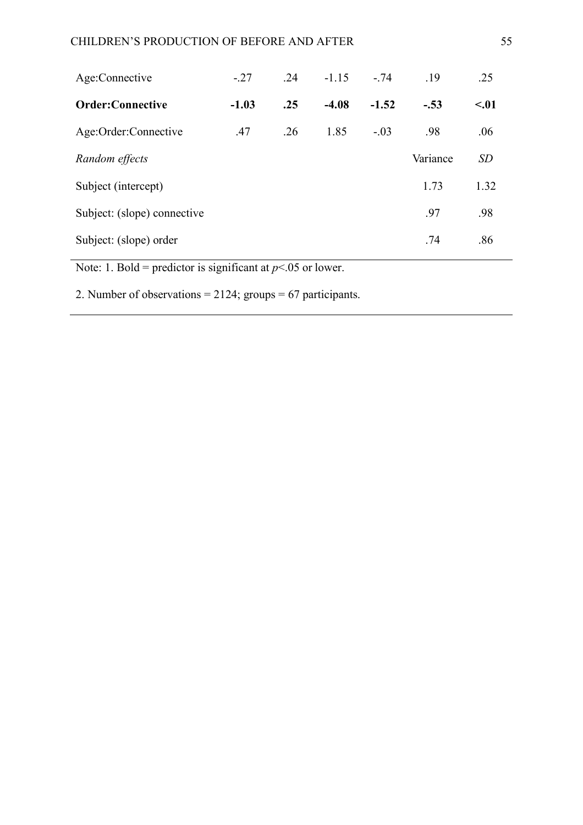# CHILDREN'S PRODUCTION OF BEFORE AND AFTER 55

| $-.27$  | .24 | $-1.15$ | $-74$   | .19      | .25       |
|---------|-----|---------|---------|----------|-----------|
| $-1.03$ | .25 | $-4.08$ | $-1.52$ | $-.53$   | $\leq 01$ |
| .47     | .26 | 1.85    | $-.03$  | .98      | .06       |
|         |     |         |         | Variance | SD        |
|         |     |         |         | 1.73     | 1.32      |
|         |     |         |         | .97      | .98       |
|         |     |         |         | .74      | .86       |
|         |     |         |         |          |           |

Note: 1. Bold = predictor is significant at  $p$  < 05 or lower.

2. Number of observations = 2124; groups = 67 participants.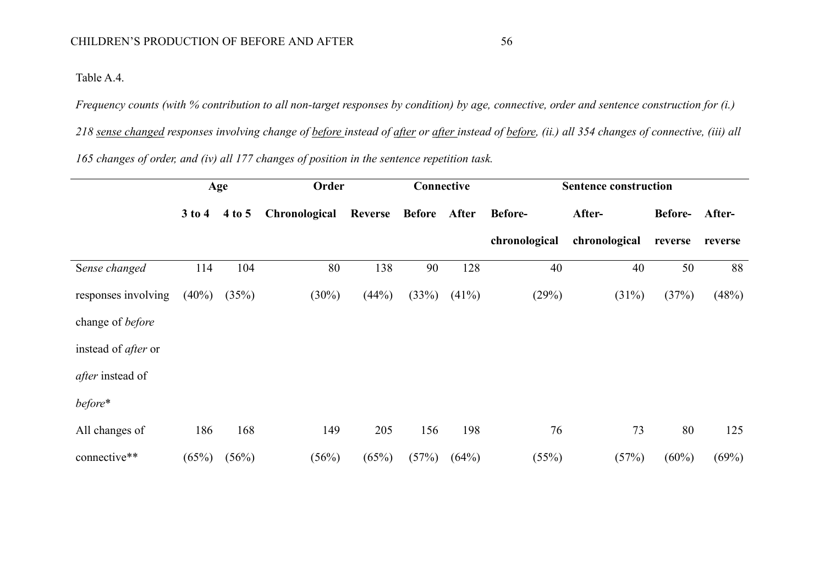Table A.4.

*Frequency counts (with % contribution to all non-target responses by condition) by age, connective, order and sentence construction for (i.)* 

*218 sense changed responses involving change of before instead of after or after instead of before, (ii.) all 354 changes of connective, (iii) all* 

*165 changes of order, and (iv) all 177 changes of position in the sentence repetition task.*

|                            |            | Age    | Order         |                | Connective    |       | <b>Sentence construction</b> |               |                |         |
|----------------------------|------------|--------|---------------|----------------|---------------|-------|------------------------------|---------------|----------------|---------|
|                            | $3$ to $4$ | 4 to 5 | Chronological | <b>Reverse</b> | <b>Before</b> | After | <b>Before-</b>               | After-        | <b>Before-</b> | After-  |
|                            |            |        |               |                |               |       | chronological                | chronological | reverse        | reverse |
| Sense changed              | 114        | 104    | 80            | 138            | 90            | 128   | 40                           | 40            | 50             | 88      |
| responses involving        | $(40\%)$   | (35%)  | $(30\%)$      | (44%)          | (33%)         | (41%) | (29%)                        | (31%)         | (37%)          | (48%)   |
| change of <i>before</i>    |            |        |               |                |               |       |                              |               |                |         |
| instead of <i>after</i> or |            |        |               |                |               |       |                              |               |                |         |
| <i>after</i> instead of    |            |        |               |                |               |       |                              |               |                |         |
| before*                    |            |        |               |                |               |       |                              |               |                |         |
| All changes of             | 186        | 168    | 149           | 205            | 156           | 198   | 76                           | 73            | 80             | 125     |
| connective**               | (65%)      | (56%)  | (56%)         | (65%)          | (57%)         | (64%) | (55%)                        | (57%)         | (60%)          | (69%)   |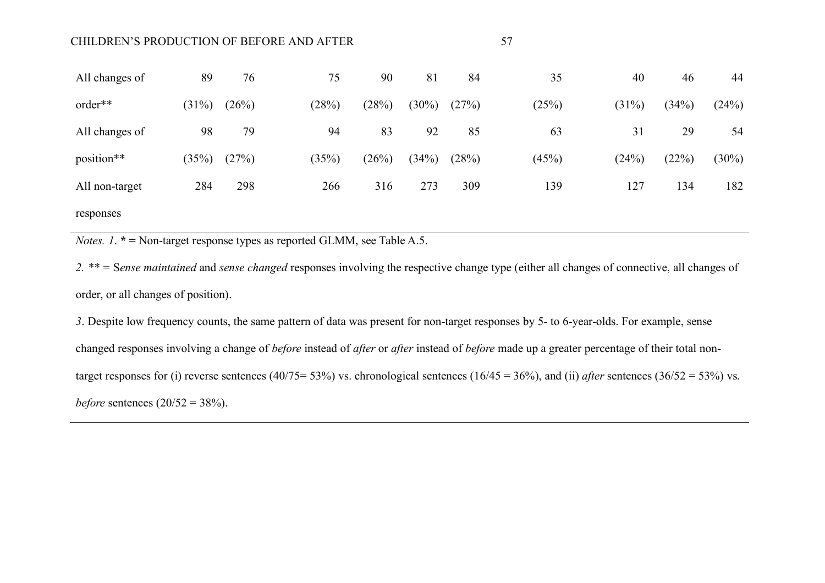| ×<br>I |  |
|--------|--|

| All changes of | 89       | 76    | 75    | 90    | 81       | 84    | 35    | 40    | 46    | 44       |
|----------------|----------|-------|-------|-------|----------|-------|-------|-------|-------|----------|
| order**        | $(31\%)$ | (26%) | (28%) | (28%) | $(30\%)$ | (27%) | (25%) | (31%) | (34%) | (24%)    |
| All changes of | 98       | 79    | 94    | 83    | 92       | 85    | 63    | 31    | 29    | 54       |
| position**     | (35%)    | (27%) | (35%) | (26%) | (34%)    | (28%) | (45%) | (24%) | (22%) | $(30\%)$ |
| All non-target | 284      | 298   | 266   | 316   | 273      | 309   | 139   | 127   | 134   | 182      |
| responses      |          |       |       |       |          |       |       |       |       |          |

*Notes. 1*. **\* =** Non-target response types as reported GLMM, see Table A.5.

*2. \*\* =* S*ense maintained* and *sense changed* responses involving the respective change type (either all changes of connective, all changes of order, or all changes of position).

*3*. Despite low frequency counts, the same pattern of data was present for non-target responses by 5- to 6-year-olds. For example, sense changed responses involving a change of *before* instead of *after* or *after* instead of *before* made up a greater percentage of their total nontarget responses for (i) reverse sentences (40/75= 53%) vs. chronological sentences (16/45 = 36%), and (ii) *after* sentences (36/52 = 53%) vs. *before* sentences (20/52 = 38%).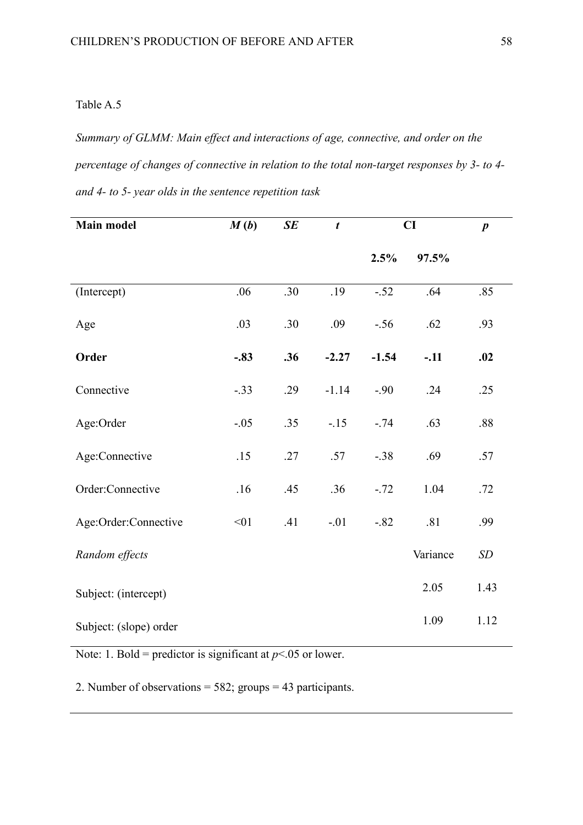*Summary of GLMM: Main effect and interactions of age, connective, and order on the percentage of changes of connective in relation to the total non-target responses by 3- to 4 and 4- to 5- year olds in the sentence repetition task*

| Main model             | M(b)   | SE  | $\boldsymbol{t}$ | CI      |          | $\boldsymbol{p}$ |
|------------------------|--------|-----|------------------|---------|----------|------------------|
|                        |        |     |                  | 2.5%    | 97.5%    |                  |
| (Intercept)            | .06    | .30 | .19              | $-.52$  | .64      | .85              |
| Age                    | .03    | .30 | .09              | $-.56$  | .62      | .93              |
| Order                  | $-.83$ | .36 | $-2.27$          | $-1.54$ | $-.11$   | .02              |
| Connective             | $-.33$ | .29 | $-1.14$          | $-.90$  | .24      | .25              |
| Age:Order              | $-.05$ | .35 | $-15$            | $-.74$  | .63      | .88              |
| Age:Connective         | .15    | .27 | .57              | $-.38$  | .69      | .57              |
| Order:Connective       | .16    | .45 | .36              | $-.72$  | 1.04     | .72              |
| Age:Order:Connective   | < 01   | .41 | $-.01$           | $-0.82$ | .81      | .99              |
| Random effects         |        |     |                  |         | Variance | SD               |
| Subject: (intercept)   |        |     |                  |         | 2.05     | 1.43             |
| Subject: (slope) order |        |     |                  |         | 1.09     | 1.12             |

Note: 1. Bold = predictor is significant at  $p$  < 05 or lower.

2. Number of observations = 582; groups = 43 participants.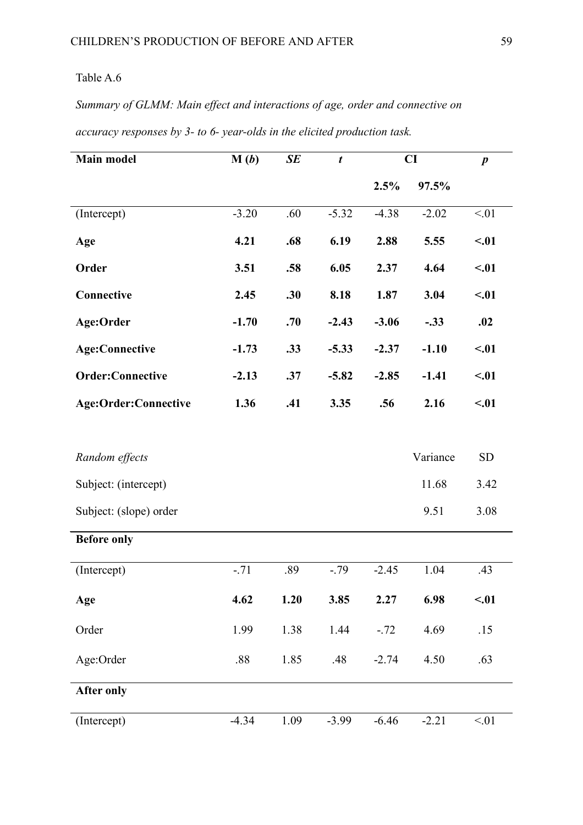**After only**

*Summary of GLMM: Main effect and interactions of age, order and connective on* 

| Main model                  | M(b)    | SE   | $\boldsymbol{t}$ | CI      |          | $\boldsymbol{p}$ |
|-----------------------------|---------|------|------------------|---------|----------|------------------|
|                             |         |      |                  | 2.5%    | 97.5%    |                  |
| (Intercept)                 | $-3.20$ | .60  | $-5.32$          | $-4.38$ | $-2.02$  | < 01             |
| Age                         | 4.21    | .68  | 6.19             | 2.88    | 5.55     | < .01            |
| Order                       | 3.51    | .58  | 6.05             | 2.37    | 4.64     | < 01             |
| Connective                  | 2.45    | .30  | 8.18             | 1.87    | 3.04     | < 01             |
| Age:Order                   | $-1.70$ | .70  | $-2.43$          | $-3.06$ | $-.33$   | .02              |
| <b>Age:Connective</b>       | $-1.73$ | .33  | $-5.33$          | $-2.37$ | $-1.10$  | < .01            |
| <b>Order:Connective</b>     | $-2.13$ | .37  | $-5.82$          | $-2.85$ | $-1.41$  | < 01             |
| <b>Age:Order:Connective</b> | 1.36    | .41  | 3.35             | .56     | 2.16     | < 01             |
| Random effects              |         |      |                  |         | Variance | <b>SD</b>        |
| Subject: (intercept)        |         |      |                  |         | 11.68    | 3.42             |
| Subject: (slope) order      |         |      |                  |         | 9.51     | 3.08             |
| <b>Before only</b>          |         |      |                  |         |          |                  |
| (Intercept)                 | $-.71$  | .89  | $-.79$           | $-2.45$ | 1.04     | .43              |
| Age                         | 4.62    | 1.20 | 3.85             | 2.27    | 6.98     | $-.01$           |
| Order                       | 1.99    | 1.38 | 1.44             | $-.72$  | 4.69     | .15              |
| Age:Order                   | $.88\,$ | 1.85 | .48              | $-2.74$ | 4.50     | .63              |

*accuracy responses by 3- to 6- year-olds in the elicited production task.*

(Intercept) -4.34 1.09 -3.99 -6.46 -2.21 <.01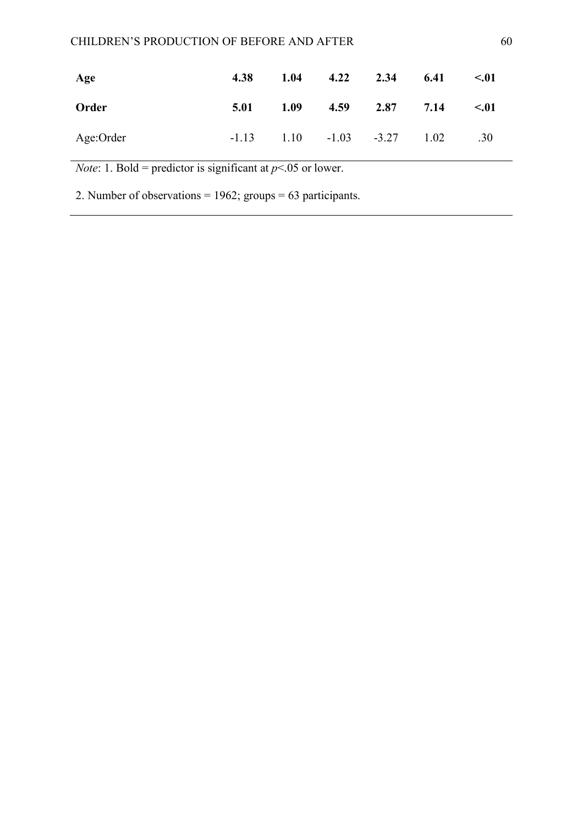| Age       | 4.38 | 1.04 | 4.22 | 2.34                                  | 6.41 | $\leq 0.01$ |
|-----------|------|------|------|---------------------------------------|------|-------------|
| Order     |      |      |      | 5.01 1.09 4.59 2.87 7.14              |      | < 01        |
| Age:Order |      |      |      | $-1.13$ $1.10$ $-1.03$ $-3.27$ $1.02$ |      | .30         |

*Note*: 1. Bold = predictor is significant at  $p$  < 05 or lower.

2. Number of observations = 1962; groups = 63 participants.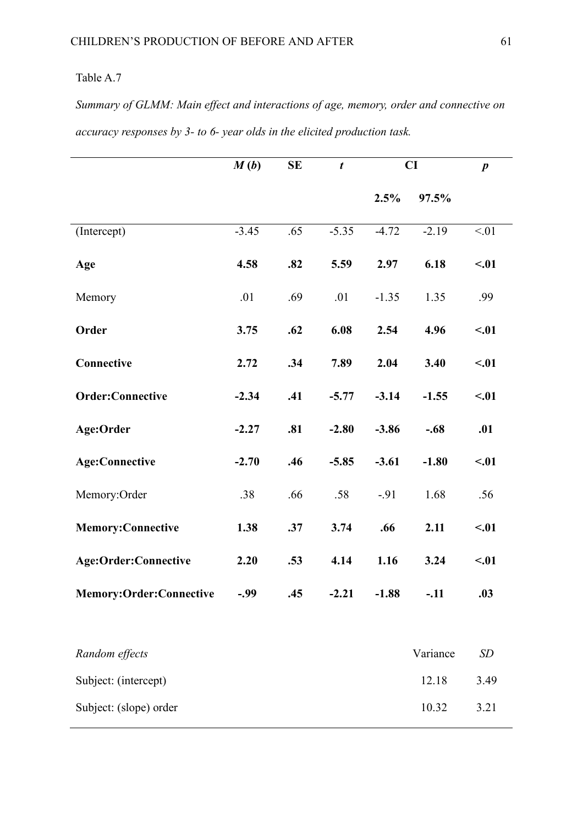*Summary of GLMM: Main effect and interactions of age, memory, order and connective on accuracy responses by 3- to 6- year olds in the elicited production task.*

|                                | M(b)    | SE  | $\boldsymbol{t}$ | CI      |          | $\boldsymbol{p}$ |
|--------------------------------|---------|-----|------------------|---------|----------|------------------|
|                                |         |     |                  | 2.5%    | 97.5%    |                  |
| (Intercept)                    | $-3.45$ | .65 | $-5.35$          | $-4.72$ | $-2.19$  | < 01             |
| Age                            | 4.58    | .82 | 5.59             | 2.97    | 6.18     | < 01             |
| Memory                         | .01     | .69 | .01              | $-1.35$ | 1.35     | .99              |
| Order                          | 3.75    | .62 | 6.08             | 2.54    | 4.96     | < 01             |
| Connective                     | 2.72    | .34 | 7.89             | 2.04    | 3.40     | < 01             |
| <b>Order:Connective</b>        | $-2.34$ | .41 | $-5.77$          | $-3.14$ | $-1.55$  | < 01             |
| Age:Order                      | $-2.27$ | .81 | $-2.80$          | $-3.86$ | $-.68$   | .01              |
| <b>Age:Connective</b>          | $-2.70$ | .46 | $-5.85$          | $-3.61$ | $-1.80$  | < 01             |
| Memory: Order                  | .38     | .66 | .58              | $-91$   | 1.68     | .56              |
| <b>Memory:Connective</b>       | 1.38    | .37 | 3.74             | .66     | 2.11     | < 01             |
| Age:Order:Connective           | 2.20    | .53 | 4.14             | 1.16    | 3.24     | < 01             |
| <b>Memory:Order:Connective</b> | -.99    | .45 | $-2.21$          | $-1.88$ | $-.11$   | .03              |
|                                |         |     |                  |         |          |                  |
| Random effects                 |         |     |                  |         | Variance | <b>SD</b>        |
| Subject: (intercept)           |         |     |                  |         | 12.18    | 3.49             |
| Subject: (slope) order         |         |     |                  |         | 10.32    | 3.21             |